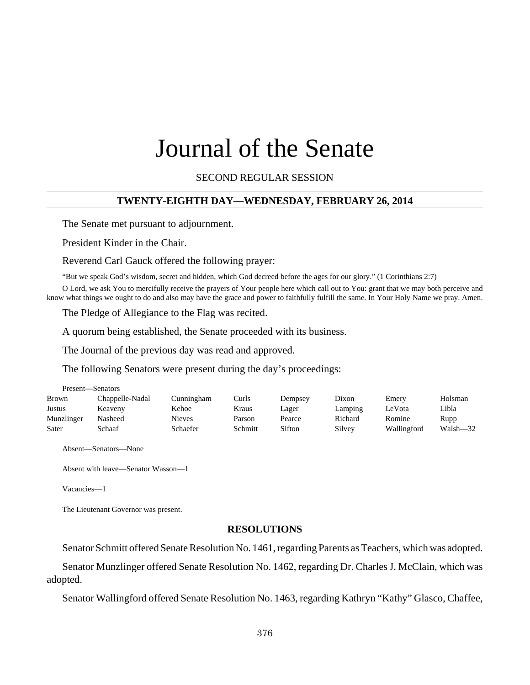# Journal of the Senate

SECOND REGULAR SESSION

## **TWENTY-EIGHTH DAY—WEDNESDAY, FEBRUARY 26, 2014**

The Senate met pursuant to adjournment.

President Kinder in the Chair.

Reverend Carl Gauck offered the following prayer:

"But we speak God's wisdom, secret and hidden, which God decreed before the ages for our glory." (1 Corinthians 2:7)

O Lord, we ask You to mercifully receive the prayers of Your people here which call out to You: grant that we may both perceive and know what things we ought to do and also may have the grace and power to faithfully fulfill the same. In Your Holy Name we pray. Amen.

The Pledge of Allegiance to the Flag was recited.

A quorum being established, the Senate proceeded with its business.

The Journal of the previous day was read and approved.

The following Senators were present during the day's proceedings:

| Present—Senators |                 |            |         |         |         |             |          |
|------------------|-----------------|------------|---------|---------|---------|-------------|----------|
| <b>Brown</b>     | Chappelle-Nadal | Cunningham | Curls   | Dempsey | Dixon   | Emery       | Holsman  |
| Justus           | Keaveny         | Kehoe      | Kraus   | Lager   | Lamping | LeVota      | Libla    |
| Munzlinger       | Nasheed         | Nieves     | Parson  | Pearce  | Richard | Romine      | Rupp     |
| Sater            | Schaaf          | Schaefer   | Schmitt | Sifton  | Silvey  | Wallingford | Walsh-32 |

Absent—Senators—None

Absent with leave—Senator Wasson—1

Vacancies—1

The Lieutenant Governor was present.

#### **RESOLUTIONS**

Senator Schmitt offered Senate Resolution No. 1461, regarding Parents as Teachers, which was adopted.

Senator Munzlinger offered Senate Resolution No. 1462, regarding Dr. Charles J. McClain, which was adopted.

Senator Wallingford offered Senate Resolution No. 1463, regarding Kathryn "Kathy" Glasco, Chaffee,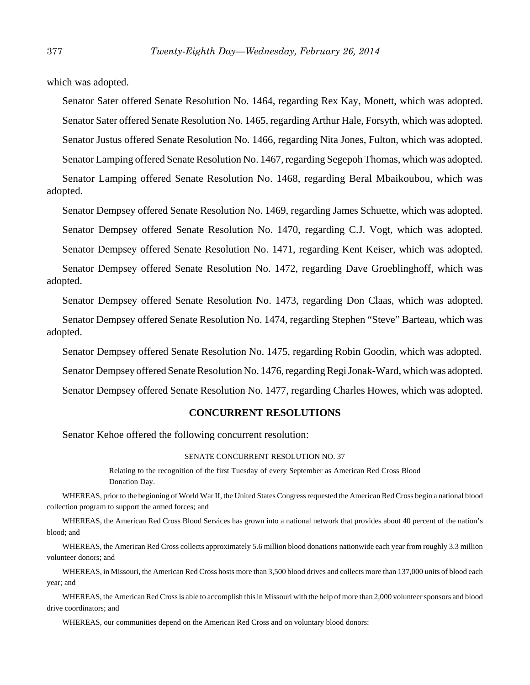which was adopted.

Senator Sater offered Senate Resolution No. 1464, regarding Rex Kay, Monett, which was adopted.

Senator Sater offered Senate Resolution No. 1465, regarding Arthur Hale, Forsyth, which was adopted.

Senator Justus offered Senate Resolution No. 1466, regarding Nita Jones, Fulton, which was adopted.

Senator Lamping offered Senate Resolution No. 1467, regarding Segepoh Thomas, which was adopted.

Senator Lamping offered Senate Resolution No. 1468, regarding Beral Mbaikoubou, which was adopted.

Senator Dempsey offered Senate Resolution No. 1469, regarding James Schuette, which was adopted. Senator Dempsey offered Senate Resolution No. 1470, regarding C.J. Vogt, which was adopted. Senator Dempsey offered Senate Resolution No. 1471, regarding Kent Keiser, which was adopted.

Senator Dempsey offered Senate Resolution No. 1472, regarding Dave Groeblinghoff, which was adopted.

Senator Dempsey offered Senate Resolution No. 1473, regarding Don Claas, which was adopted.

Senator Dempsey offered Senate Resolution No. 1474, regarding Stephen "Steve" Barteau, which was adopted.

Senator Dempsey offered Senate Resolution No. 1475, regarding Robin Goodin, which was adopted. Senator Dempsey offered Senate Resolution No. 1476, regarding Regi Jonak-Ward, which was adopted. Senator Dempsey offered Senate Resolution No. 1477, regarding Charles Howes, which was adopted.

## **CONCURRENT RESOLUTIONS**

Senator Kehoe offered the following concurrent resolution:

#### SENATE CONCURRENT RESOLUTION NO. 37

Relating to the recognition of the first Tuesday of every September as American Red Cross Blood Donation Day.

WHEREAS, prior to the beginning of World War II, the United States Congress requested the American Red Cross begin a national blood collection program to support the armed forces; and

WHEREAS, the American Red Cross Blood Services has grown into a national network that provides about 40 percent of the nation's blood; and

WHEREAS, the American Red Cross collects approximately 5.6 million blood donations nationwide each year from roughly 3.3 million volunteer donors; and

WHEREAS, in Missouri, the American Red Cross hosts more than 3,500 blood drives and collects more than 137,000 units of blood each year; and

WHEREAS, the American Red Cross is able to accomplish this in Missouri with the help of more than 2,000 volunteer sponsors and blood drive coordinators; and

WHEREAS, our communities depend on the American Red Cross and on voluntary blood donors: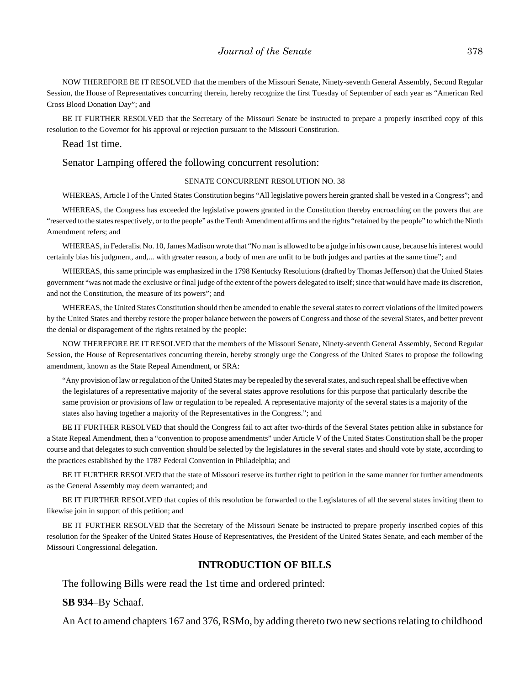NOW THEREFORE BE IT RESOLVED that the members of the Missouri Senate, Ninety-seventh General Assembly, Second Regular Session, the House of Representatives concurring therein, hereby recognize the first Tuesday of September of each year as "American Red Cross Blood Donation Day"; and

BE IT FURTHER RESOLVED that the Secretary of the Missouri Senate be instructed to prepare a properly inscribed copy of this resolution to the Governor for his approval or rejection pursuant to the Missouri Constitution.

#### Read 1st time.

## Senator Lamping offered the following concurrent resolution:

#### SENATE CONCURRENT RESOLUTION NO. 38

WHEREAS, Article I of the United States Constitution begins "All legislative powers herein granted shall be vested in a Congress"; and

WHEREAS, the Congress has exceeded the legislative powers granted in the Constitution thereby encroaching on the powers that are "reserved to the states respectively, or to the people" as the Tenth Amendment affirms and the rights "retained by the people" to which the Ninth Amendment refers; and

WHEREAS, in Federalist No. 10, James Madison wrote that "No man is allowed to be a judge in his own cause, because his interest would certainly bias his judgment, and,... with greater reason, a body of men are unfit to be both judges and parties at the same time"; and

WHEREAS, this same principle was emphasized in the 1798 Kentucky Resolutions (drafted by Thomas Jefferson) that the United States government "was not made the exclusive or final judge of the extent of the powers delegated to itself; since that would have made its discretion, and not the Constitution, the measure of its powers"; and

WHEREAS, the United States Constitution should then be amended to enable the several states to correct violations of the limited powers by the United States and thereby restore the proper balance between the powers of Congress and those of the several States, and better prevent the denial or disparagement of the rights retained by the people:

NOW THEREFORE BE IT RESOLVED that the members of the Missouri Senate, Ninety-seventh General Assembly, Second Regular Session, the House of Representatives concurring therein, hereby strongly urge the Congress of the United States to propose the following amendment, known as the State Repeal Amendment, or SRA:

"Any provision of law or regulation of the United States may be repealed by the several states, and such repeal shall be effective when the legislatures of a representative majority of the several states approve resolutions for this purpose that particularly describe the same provision or provisions of law or regulation to be repealed. A representative majority of the several states is a majority of the states also having together a majority of the Representatives in the Congress."; and

BE IT FURTHER RESOLVED that should the Congress fail to act after two-thirds of the Several States petition alike in substance for a State Repeal Amendment, then a "convention to propose amendments" under Article V of the United States Constitution shall be the proper course and that delegates to such convention should be selected by the legislatures in the several states and should vote by state, according to the practices established by the 1787 Federal Convention in Philadelphia; and

BE IT FURTHER RESOLVED that the state of Missouri reserve its further right to petition in the same manner for further amendments as the General Assembly may deem warranted; and

BE IT FURTHER RESOLVED that copies of this resolution be forwarded to the Legislatures of all the several states inviting them to likewise join in support of this petition; and

BE IT FURTHER RESOLVED that the Secretary of the Missouri Senate be instructed to prepare properly inscribed copies of this resolution for the Speaker of the United States House of Representatives, the President of the United States Senate, and each member of the Missouri Congressional delegation.

#### **INTRODUCTION OF BILLS**

The following Bills were read the 1st time and ordered printed:

**SB 934**–By Schaaf.

An Act to amend chapters 167 and 376, RSMo, by adding thereto two new sections relating to childhood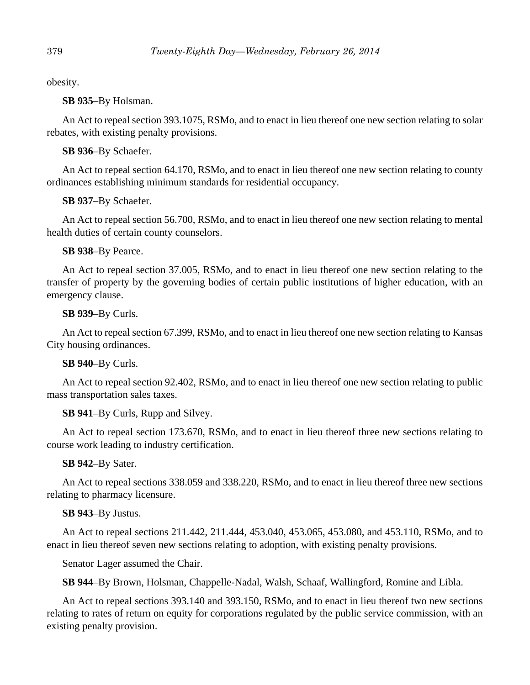obesity.

**SB 935**–By Holsman.

An Act to repeal section 393.1075, RSMo, and to enact in lieu thereof one new section relating to solar rebates, with existing penalty provisions.

**SB 936**–By Schaefer.

An Act to repeal section 64.170, RSMo, and to enact in lieu thereof one new section relating to county ordinances establishing minimum standards for residential occupancy.

**SB 937**–By Schaefer.

An Act to repeal section 56.700, RSMo, and to enact in lieu thereof one new section relating to mental health duties of certain county counselors.

**SB 938**–By Pearce.

An Act to repeal section 37.005, RSMo, and to enact in lieu thereof one new section relating to the transfer of property by the governing bodies of certain public institutions of higher education, with an emergency clause.

# **SB 939**–By Curls.

An Act to repeal section 67.399, RSMo, and to enact in lieu thereof one new section relating to Kansas City housing ordinances.

# **SB 940**–By Curls.

An Act to repeal section 92.402, RSMo, and to enact in lieu thereof one new section relating to public mass transportation sales taxes.

**SB 941**–By Curls, Rupp and Silvey.

An Act to repeal section 173.670, RSMo, and to enact in lieu thereof three new sections relating to course work leading to industry certification.

# **SB 942**–By Sater.

An Act to repeal sections 338.059 and 338.220, RSMo, and to enact in lieu thereof three new sections relating to pharmacy licensure.

# **SB 943**–By Justus.

An Act to repeal sections 211.442, 211.444, 453.040, 453.065, 453.080, and 453.110, RSMo, and to enact in lieu thereof seven new sections relating to adoption, with existing penalty provisions.

Senator Lager assumed the Chair.

**SB 944**–By Brown, Holsman, Chappelle-Nadal, Walsh, Schaaf, Wallingford, Romine and Libla.

An Act to repeal sections 393.140 and 393.150, RSMo, and to enact in lieu thereof two new sections relating to rates of return on equity for corporations regulated by the public service commission, with an existing penalty provision.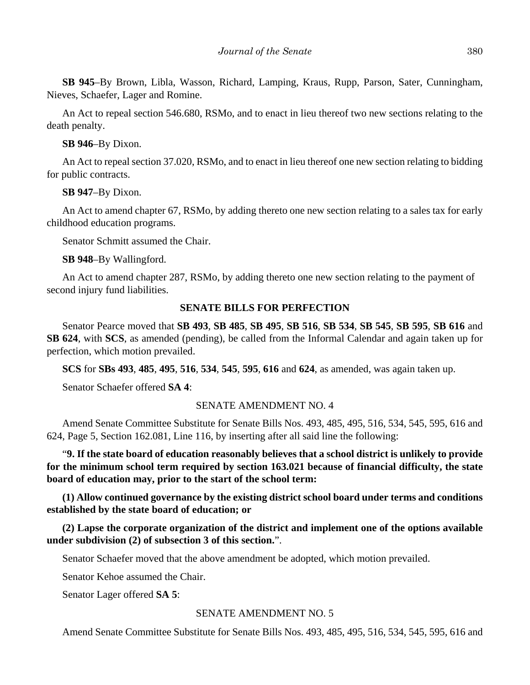**SB 945**–By Brown, Libla, Wasson, Richard, Lamping, Kraus, Rupp, Parson, Sater, Cunningham, Nieves, Schaefer, Lager and Romine.

An Act to repeal section 546.680, RSMo, and to enact in lieu thereof two new sections relating to the death penalty.

**SB 946**–By Dixon.

An Act to repeal section 37.020, RSMo, and to enact in lieu thereof one new section relating to bidding for public contracts.

**SB 947**–By Dixon.

An Act to amend chapter 67, RSMo, by adding thereto one new section relating to a sales tax for early childhood education programs.

Senator Schmitt assumed the Chair.

**SB 948**–By Wallingford.

An Act to amend chapter 287, RSMo, by adding thereto one new section relating to the payment of second injury fund liabilities.

# **SENATE BILLS FOR PERFECTION**

Senator Pearce moved that **SB 493**, **SB 485**, **SB 495**, **SB 516**, **SB 534**, **SB 545**, **SB 595**, **SB 616** and **SB 624**, with **SCS**, as amended (pending), be called from the Informal Calendar and again taken up for perfection, which motion prevailed.

**SCS** for **SBs 493**, **485**, **495**, **516**, **534**, **545**, **595**, **616** and **624**, as amended, was again taken up.

Senator Schaefer offered **SA 4**:

# SENATE AMENDMENT NO. 4

Amend Senate Committee Substitute for Senate Bills Nos. 493, 485, 495, 516, 534, 545, 595, 616 and 624, Page 5, Section 162.081, Line 116, by inserting after all said line the following:

"**9. If the state board of education reasonably believes that a school district is unlikely to provide for the minimum school term required by section 163.021 because of financial difficulty, the state board of education may, prior to the start of the school term:**

**(1) Allow continued governance by the existing district school board under terms and conditions established by the state board of education; or**

**(2) Lapse the corporate organization of the district and implement one of the options available under subdivision (2) of subsection 3 of this section.**".

Senator Schaefer moved that the above amendment be adopted, which motion prevailed.

Senator Kehoe assumed the Chair.

Senator Lager offered **SA 5**:

# SENATE AMENDMENT NO. 5

Amend Senate Committee Substitute for Senate Bills Nos. 493, 485, 495, 516, 534, 545, 595, 616 and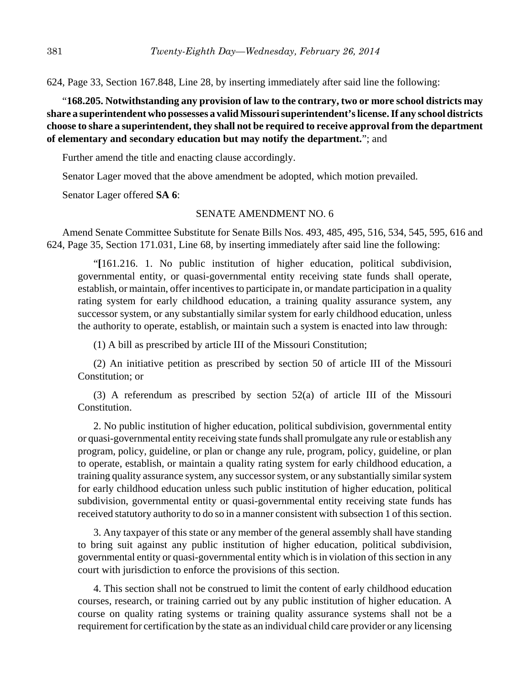624, Page 33, Section 167.848, Line 28, by inserting immediately after said line the following:

"**168.205. Notwithstanding any provision of law to the contrary, two or more school districts may share a superintendent who possesses a valid Missouri superintendent's license. If any school districts choose to share a superintendent, they shall not be required to receive approval from the department of elementary and secondary education but may notify the department.**"; and

Further amend the title and enacting clause accordingly.

Senator Lager moved that the above amendment be adopted, which motion prevailed.

Senator Lager offered **SA 6**:

# SENATE AMENDMENT NO. 6

Amend Senate Committee Substitute for Senate Bills Nos. 493, 485, 495, 516, 534, 545, 595, 616 and 624, Page 35, Section 171.031, Line 68, by inserting immediately after said line the following:

"**[**161.216. 1. No public institution of higher education, political subdivision, governmental entity, or quasi-governmental entity receiving state funds shall operate, establish, or maintain, offer incentives to participate in, or mandate participation in a quality rating system for early childhood education, a training quality assurance system, any successor system, or any substantially similar system for early childhood education, unless the authority to operate, establish, or maintain such a system is enacted into law through:

(1) A bill as prescribed by article III of the Missouri Constitution;

(2) An initiative petition as prescribed by section 50 of article III of the Missouri Constitution; or

(3) A referendum as prescribed by section 52(a) of article III of the Missouri Constitution.

2. No public institution of higher education, political subdivision, governmental entity or quasi-governmental entity receiving state funds shall promulgate any rule or establish any program, policy, guideline, or plan or change any rule, program, policy, guideline, or plan to operate, establish, or maintain a quality rating system for early childhood education, a training quality assurance system, any successor system, or any substantially similar system for early childhood education unless such public institution of higher education, political subdivision, governmental entity or quasi-governmental entity receiving state funds has received statutory authority to do so in a manner consistent with subsection 1 of this section.

3. Any taxpayer of this state or any member of the general assembly shall have standing to bring suit against any public institution of higher education, political subdivision, governmental entity or quasi-governmental entity which is in violation of this section in any court with jurisdiction to enforce the provisions of this section.

4. This section shall not be construed to limit the content of early childhood education courses, research, or training carried out by any public institution of higher education. A course on quality rating systems or training quality assurance systems shall not be a requirement for certification by the state as an individual child care provider or any licensing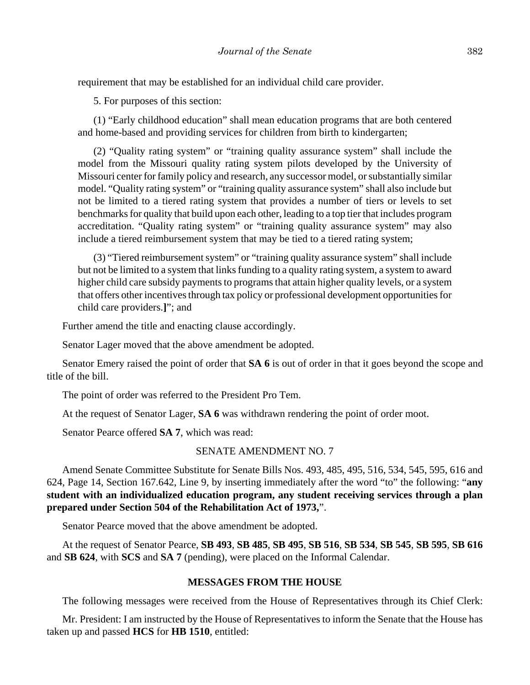requirement that may be established for an individual child care provider.

5. For purposes of this section:

(1) "Early childhood education" shall mean education programs that are both centered and home-based and providing services for children from birth to kindergarten;

(2) "Quality rating system" or "training quality assurance system" shall include the model from the Missouri quality rating system pilots developed by the University of Missouri center for family policy and research, any successor model, or substantially similar model. "Quality rating system" or "training quality assurance system" shall also include but not be limited to a tiered rating system that provides a number of tiers or levels to set benchmarks for quality that build upon each other, leading to a top tier that includes program accreditation. "Quality rating system" or "training quality assurance system" may also include a tiered reimbursement system that may be tied to a tiered rating system;

(3) "Tiered reimbursement system" or "training quality assurance system" shall include but not be limited to a system that links funding to a quality rating system, a system to award higher child care subsidy payments to programs that attain higher quality levels, or a system that offers other incentives through tax policy or professional development opportunities for child care providers.**]**"; and

Further amend the title and enacting clause accordingly.

Senator Lager moved that the above amendment be adopted.

Senator Emery raised the point of order that **SA 6** is out of order in that it goes beyond the scope and title of the bill.

The point of order was referred to the President Pro Tem.

At the request of Senator Lager, **SA 6** was withdrawn rendering the point of order moot.

Senator Pearce offered **SA 7**, which was read:

## SENATE AMENDMENT NO. 7

Amend Senate Committee Substitute for Senate Bills Nos. 493, 485, 495, 516, 534, 545, 595, 616 and 624, Page 14, Section 167.642, Line 9, by inserting immediately after the word "to" the following: "**any student with an individualized education program, any student receiving services through a plan prepared under Section 504 of the Rehabilitation Act of 1973,**".

Senator Pearce moved that the above amendment be adopted.

At the request of Senator Pearce, **SB 493**, **SB 485**, **SB 495**, **SB 516**, **SB 534**, **SB 545**, **SB 595**, **SB 616** and **SB 624**, with **SCS** and **SA 7** (pending), were placed on the Informal Calendar.

## **MESSAGES FROM THE HOUSE**

The following messages were received from the House of Representatives through its Chief Clerk:

Mr. President: I am instructed by the House of Representatives to inform the Senate that the House has taken up and passed **HCS** for **HB 1510**, entitled: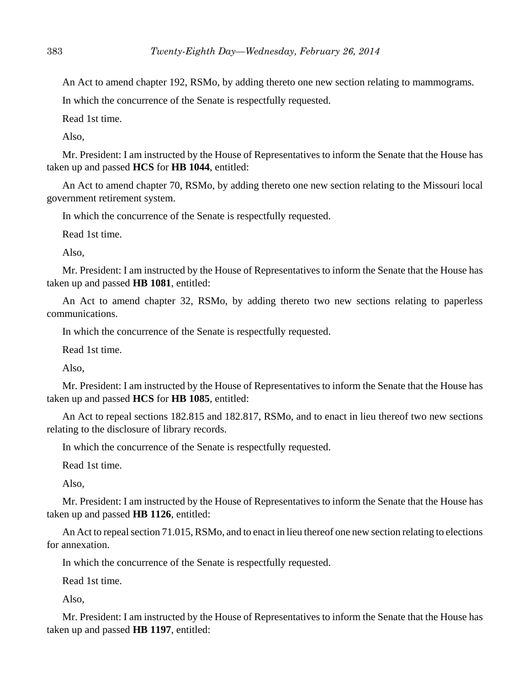An Act to amend chapter 192, RSMo, by adding thereto one new section relating to mammograms.

In which the concurrence of the Senate is respectfully requested.

Read 1st time.

Also,

Mr. President: I am instructed by the House of Representatives to inform the Senate that the House has taken up and passed **HCS** for **HB 1044**, entitled:

An Act to amend chapter 70, RSMo, by adding thereto one new section relating to the Missouri local government retirement system.

In which the concurrence of the Senate is respectfully requested.

Read 1st time.

Also,

Mr. President: I am instructed by the House of Representatives to inform the Senate that the House has taken up and passed **HB 1081**, entitled:

An Act to amend chapter 32, RSMo, by adding thereto two new sections relating to paperless communications.

In which the concurrence of the Senate is respectfully requested.

Read 1st time.

Also,

Mr. President: I am instructed by the House of Representatives to inform the Senate that the House has taken up and passed **HCS** for **HB 1085**, entitled:

An Act to repeal sections 182.815 and 182.817, RSMo, and to enact in lieu thereof two new sections relating to the disclosure of library records.

In which the concurrence of the Senate is respectfully requested.

Read 1st time.

Also,

Mr. President: I am instructed by the House of Representatives to inform the Senate that the House has taken up and passed **HB 1126**, entitled:

An Act to repeal section 71.015, RSMo, and to enact in lieu thereof one new section relating to elections for annexation.

In which the concurrence of the Senate is respectfully requested.

Read 1st time.

Also,

Mr. President: I am instructed by the House of Representatives to inform the Senate that the House has taken up and passed **HB 1197**, entitled: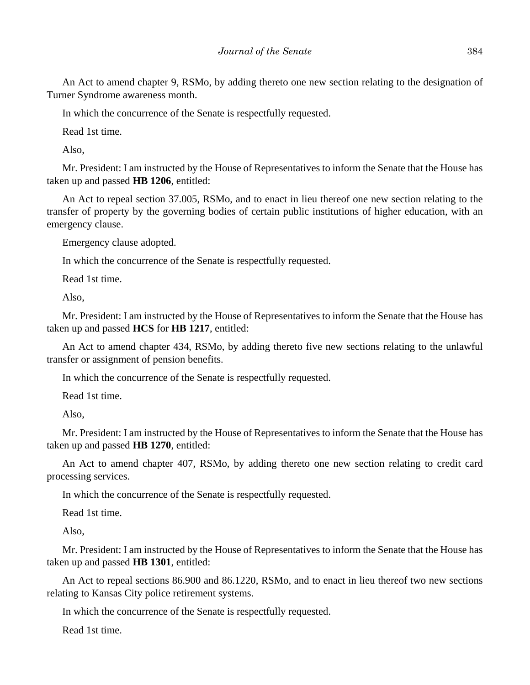An Act to amend chapter 9, RSMo, by adding thereto one new section relating to the designation of Turner Syndrome awareness month.

In which the concurrence of the Senate is respectfully requested.

Read 1st time.

Also,

Mr. President: I am instructed by the House of Representatives to inform the Senate that the House has taken up and passed **HB 1206**, entitled:

An Act to repeal section 37.005, RSMo, and to enact in lieu thereof one new section relating to the transfer of property by the governing bodies of certain public institutions of higher education, with an emergency clause.

Emergency clause adopted.

In which the concurrence of the Senate is respectfully requested.

Read 1st time.

Also,

Mr. President: I am instructed by the House of Representatives to inform the Senate that the House has taken up and passed **HCS** for **HB 1217**, entitled:

An Act to amend chapter 434, RSMo, by adding thereto five new sections relating to the unlawful transfer or assignment of pension benefits.

In which the concurrence of the Senate is respectfully requested.

Read 1st time.

Also,

Mr. President: I am instructed by the House of Representatives to inform the Senate that the House has taken up and passed **HB 1270**, entitled:

An Act to amend chapter 407, RSMo, by adding thereto one new section relating to credit card processing services.

In which the concurrence of the Senate is respectfully requested.

Read 1st time.

Also,

Mr. President: I am instructed by the House of Representatives to inform the Senate that the House has taken up and passed **HB 1301**, entitled:

An Act to repeal sections 86.900 and 86.1220, RSMo, and to enact in lieu thereof two new sections relating to Kansas City police retirement systems.

In which the concurrence of the Senate is respectfully requested.

Read 1st time.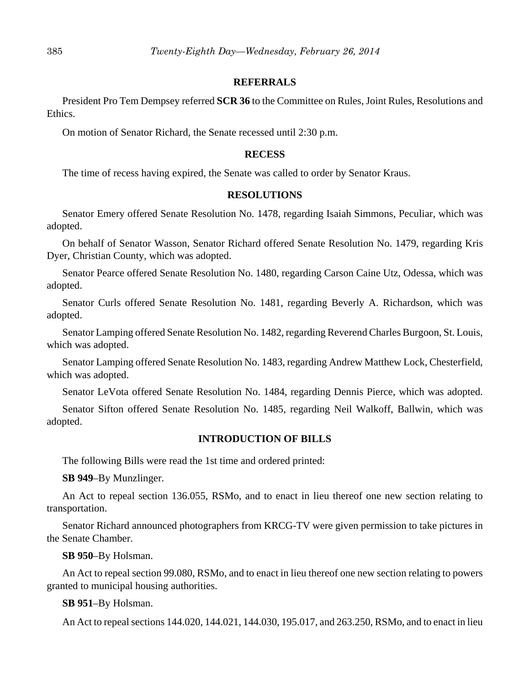## **REFERRALS**

President Pro Tem Dempsey referred **SCR 36** to the Committee on Rules, Joint Rules, Resolutions and Ethics.

On motion of Senator Richard, the Senate recessed until 2:30 p.m.

## **RECESS**

The time of recess having expired, the Senate was called to order by Senator Kraus.

## **RESOLUTIONS**

Senator Emery offered Senate Resolution No. 1478, regarding Isaiah Simmons, Peculiar, which was adopted.

On behalf of Senator Wasson, Senator Richard offered Senate Resolution No. 1479, regarding Kris Dyer, Christian County, which was adopted.

Senator Pearce offered Senate Resolution No. 1480, regarding Carson Caine Utz, Odessa, which was adopted.

Senator Curls offered Senate Resolution No. 1481, regarding Beverly A. Richardson, which was adopted.

Senator Lamping offered Senate Resolution No. 1482, regarding Reverend Charles Burgoon, St. Louis, which was adopted.

Senator Lamping offered Senate Resolution No. 1483, regarding Andrew Matthew Lock, Chesterfield, which was adopted.

Senator LeVota offered Senate Resolution No. 1484, regarding Dennis Pierce, which was adopted.

Senator Sifton offered Senate Resolution No. 1485, regarding Neil Walkoff, Ballwin, which was adopted.

## **INTRODUCTION OF BILLS**

The following Bills were read the 1st time and ordered printed:

**SB 949**–By Munzlinger.

An Act to repeal section 136.055, RSMo, and to enact in lieu thereof one new section relating to transportation.

Senator Richard announced photographers from KRCG-TV were given permission to take pictures in the Senate Chamber.

## **SB 950**–By Holsman.

An Act to repeal section 99.080, RSMo, and to enact in lieu thereof one new section relating to powers granted to municipal housing authorities.

#### **SB 951**–By Holsman.

An Act to repeal sections 144.020, 144.021, 144.030, 195.017, and 263.250, RSMo, and to enact in lieu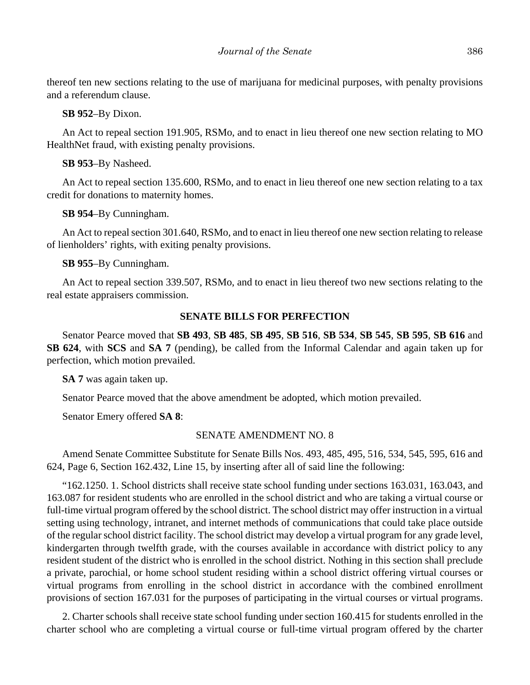thereof ten new sections relating to the use of marijuana for medicinal purposes, with penalty provisions and a referendum clause.

## **SB 952**–By Dixon.

An Act to repeal section 191.905, RSMo, and to enact in lieu thereof one new section relating to MO HealthNet fraud, with existing penalty provisions.

# **SB 953**–By Nasheed.

An Act to repeal section 135.600, RSMo, and to enact in lieu thereof one new section relating to a tax credit for donations to maternity homes.

# **SB 954**–By Cunningham.

An Act to repeal section 301.640, RSMo, and to enact in lieu thereof one new section relating to release of lienholders' rights, with exiting penalty provisions.

# **SB 955**–By Cunningham.

An Act to repeal section 339.507, RSMo, and to enact in lieu thereof two new sections relating to the real estate appraisers commission.

## **SENATE BILLS FOR PERFECTION**

Senator Pearce moved that **SB 493**, **SB 485**, **SB 495**, **SB 516**, **SB 534**, **SB 545**, **SB 595**, **SB 616** and **SB 624**, with **SCS** and **SA 7** (pending), be called from the Informal Calendar and again taken up for perfection, which motion prevailed.

**SA 7** was again taken up.

Senator Pearce moved that the above amendment be adopted, which motion prevailed.

Senator Emery offered **SA 8**:

## SENATE AMENDMENT NO. 8

Amend Senate Committee Substitute for Senate Bills Nos. 493, 485, 495, 516, 534, 545, 595, 616 and 624, Page 6, Section 162.432, Line 15, by inserting after all of said line the following:

"162.1250. 1. School districts shall receive state school funding under sections 163.031, 163.043, and 163.087 for resident students who are enrolled in the school district and who are taking a virtual course or full-time virtual program offered by the school district. The school district may offer instruction in a virtual setting using technology, intranet, and internet methods of communications that could take place outside of the regular school district facility. The school district may develop a virtual program for any grade level, kindergarten through twelfth grade, with the courses available in accordance with district policy to any resident student of the district who is enrolled in the school district. Nothing in this section shall preclude a private, parochial, or home school student residing within a school district offering virtual courses or virtual programs from enrolling in the school district in accordance with the combined enrollment provisions of section 167.031 for the purposes of participating in the virtual courses or virtual programs.

2. Charter schools shall receive state school funding under section 160.415 for students enrolled in the charter school who are completing a virtual course or full-time virtual program offered by the charter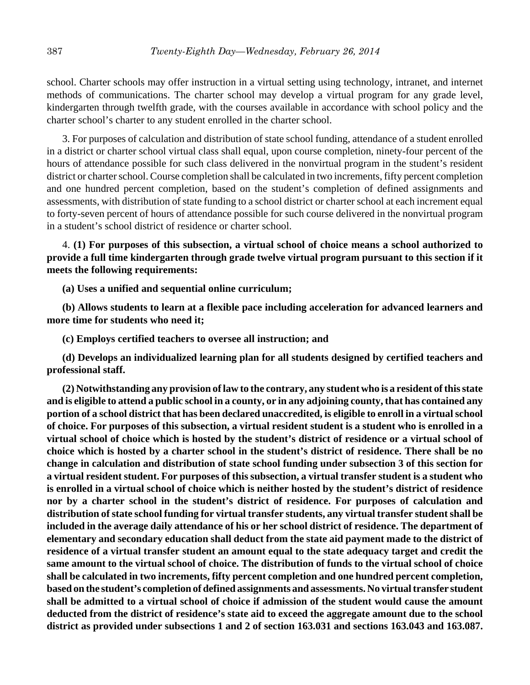school. Charter schools may offer instruction in a virtual setting using technology, intranet, and internet methods of communications. The charter school may develop a virtual program for any grade level, kindergarten through twelfth grade, with the courses available in accordance with school policy and the charter school's charter to any student enrolled in the charter school.

3. For purposes of calculation and distribution of state school funding, attendance of a student enrolled in a district or charter school virtual class shall equal, upon course completion, ninety-four percent of the hours of attendance possible for such class delivered in the nonvirtual program in the student's resident district or charter school. Course completion shall be calculated in two increments, fifty percent completion and one hundred percent completion, based on the student's completion of defined assignments and assessments, with distribution of state funding to a school district or charter school at each increment equal to forty-seven percent of hours of attendance possible for such course delivered in the nonvirtual program in a student's school district of residence or charter school.

4. **(1) For purposes of this subsection, a virtual school of choice means a school authorized to provide a full time kindergarten through grade twelve virtual program pursuant to this section if it meets the following requirements:**

**(a) Uses a unified and sequential online curriculum;**

**(b) Allows students to learn at a flexible pace including acceleration for advanced learners and more time for students who need it;**

**(c) Employs certified teachers to oversee all instruction; and**

**(d) Develops an individualized learning plan for all students designed by certified teachers and professional staff.**

**(2) Notwithstanding any provision of law to the contrary, any student who is a resident of this state and is eligible to attend a public school in a county, or in any adjoining county, that has contained any portion of a school district that has been declared unaccredited, is eligible to enroll in a virtual school of choice. For purposes of this subsection, a virtual resident student is a student who is enrolled in a virtual school of choice which is hosted by the student's district of residence or a virtual school of choice which is hosted by a charter school in the student's district of residence. There shall be no change in calculation and distribution of state school funding under subsection 3 of this section for a virtual resident student. For purposes of this subsection, a virtual transfer student is a student who is enrolled in a virtual school of choice which is neither hosted by the student's district of residence nor by a charter school in the student's district of residence. For purposes of calculation and distribution of state school funding for virtual transfer students, any virtual transfer student shall be included in the average daily attendance of his or her school district of residence. The department of elementary and secondary education shall deduct from the state aid payment made to the district of residence of a virtual transfer student an amount equal to the state adequacy target and credit the same amount to the virtual school of choice. The distribution of funds to the virtual school of choice shall be calculated in two increments, fifty percent completion and one hundred percent completion, based on the student's completion of defined assignments and assessments. No virtual transfer student shall be admitted to a virtual school of choice if admission of the student would cause the amount deducted from the district of residence's state aid to exceed the aggregate amount due to the school district as provided under subsections 1 and 2 of section 163.031 and sections 163.043 and 163.087.**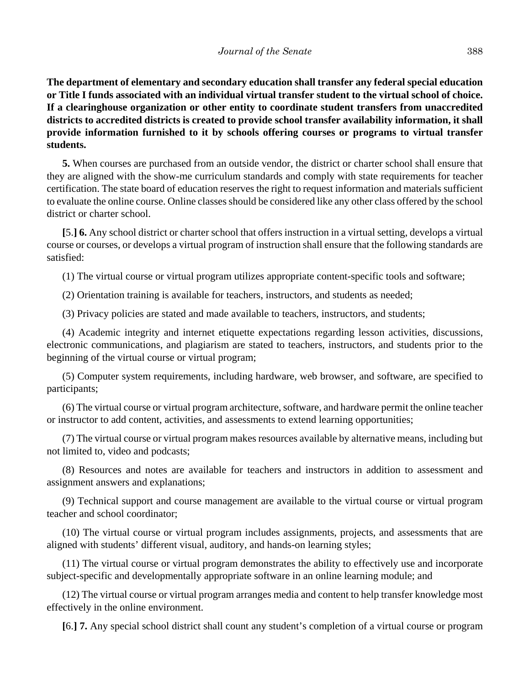**The department of elementary and secondary education shall transfer any federal special education or Title I funds associated with an individual virtual transfer student to the virtual school of choice. If a clearinghouse organization or other entity to coordinate student transfers from unaccredited districts to accredited districts is created to provide school transfer availability information, it shall provide information furnished to it by schools offering courses or programs to virtual transfer students.**

**5.** When courses are purchased from an outside vendor, the district or charter school shall ensure that they are aligned with the show-me curriculum standards and comply with state requirements for teacher certification. The state board of education reserves the right to request information and materials sufficient to evaluate the online course. Online classes should be considered like any other class offered by the school district or charter school.

**[**5.**] 6.** Any school district or charter school that offers instruction in a virtual setting, develops a virtual course or courses, or develops a virtual program of instruction shall ensure that the following standards are satisfied:

(1) The virtual course or virtual program utilizes appropriate content-specific tools and software;

(2) Orientation training is available for teachers, instructors, and students as needed;

(3) Privacy policies are stated and made available to teachers, instructors, and students;

(4) Academic integrity and internet etiquette expectations regarding lesson activities, discussions, electronic communications, and plagiarism are stated to teachers, instructors, and students prior to the beginning of the virtual course or virtual program;

(5) Computer system requirements, including hardware, web browser, and software, are specified to participants;

(6) The virtual course or virtual program architecture, software, and hardware permit the online teacher or instructor to add content, activities, and assessments to extend learning opportunities;

(7) The virtual course or virtual program makes resources available by alternative means, including but not limited to, video and podcasts;

(8) Resources and notes are available for teachers and instructors in addition to assessment and assignment answers and explanations;

(9) Technical support and course management are available to the virtual course or virtual program teacher and school coordinator;

(10) The virtual course or virtual program includes assignments, projects, and assessments that are aligned with students' different visual, auditory, and hands-on learning styles;

(11) The virtual course or virtual program demonstrates the ability to effectively use and incorporate subject-specific and developmentally appropriate software in an online learning module; and

(12) The virtual course or virtual program arranges media and content to help transfer knowledge most effectively in the online environment.

**[**6.**] 7.** Any special school district shall count any student's completion of a virtual course or program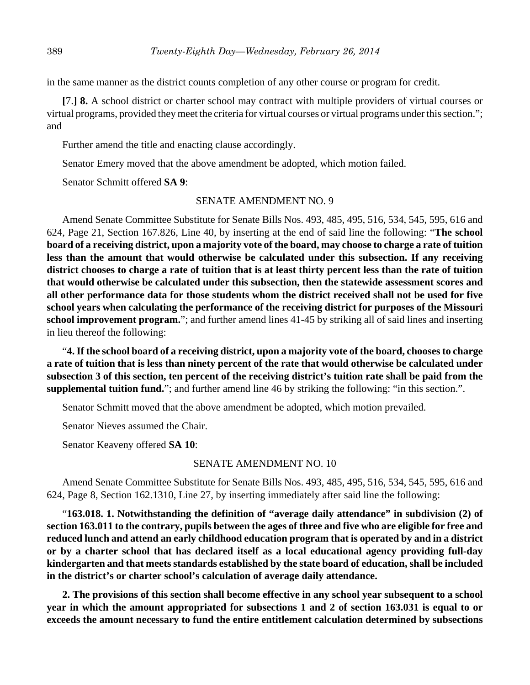in the same manner as the district counts completion of any other course or program for credit.

**[**7.**] 8.** A school district or charter school may contract with multiple providers of virtual courses or virtual programs, provided they meet the criteria for virtual courses or virtual programs under this section."; and

Further amend the title and enacting clause accordingly.

Senator Emery moved that the above amendment be adopted, which motion failed.

Senator Schmitt offered **SA 9**:

## SENATE AMENDMENT NO. 9

Amend Senate Committee Substitute for Senate Bills Nos. 493, 485, 495, 516, 534, 545, 595, 616 and 624, Page 21, Section 167.826, Line 40, by inserting at the end of said line the following: "**The school board of a receiving district, upon a majority vote of the board, may choose to charge a rate of tuition less than the amount that would otherwise be calculated under this subsection. If any receiving district chooses to charge a rate of tuition that is at least thirty percent less than the rate of tuition that would otherwise be calculated under this subsection, then the statewide assessment scores and all other performance data for those students whom the district received shall not be used for five school years when calculating the performance of the receiving district for purposes of the Missouri school improvement program.**"; and further amend lines 41-45 by striking all of said lines and inserting in lieu thereof the following:

"**4. If the school board of a receiving district, upon a majority vote of the board, chooses to charge a rate of tuition that is less than ninety percent of the rate that would otherwise be calculated under subsection 3 of this section, ten percent of the receiving district's tuition rate shall be paid from the supplemental tuition fund.**"; and further amend line 46 by striking the following: "in this section.".

Senator Schmitt moved that the above amendment be adopted, which motion prevailed.

Senator Nieves assumed the Chair.

Senator Keaveny offered **SA 10**:

## SENATE AMENDMENT NO. 10

Amend Senate Committee Substitute for Senate Bills Nos. 493, 485, 495, 516, 534, 545, 595, 616 and 624, Page 8, Section 162.1310, Line 27, by inserting immediately after said line the following:

"**163.018. 1. Notwithstanding the definition of "average daily attendance" in subdivision (2) of section 163.011 to the contrary, pupils between the ages of three and five who are eligible for free and reduced lunch and attend an early childhood education program that is operated by and in a district or by a charter school that has declared itself as a local educational agency providing full-day kindergarten and that meets standards established by the state board of education, shall be included in the district's or charter school's calculation of average daily attendance.**

**2. The provisions of this section shall become effective in any school year subsequent to a school year in which the amount appropriated for subsections 1 and 2 of section 163.031 is equal to or exceeds the amount necessary to fund the entire entitlement calculation determined by subsections**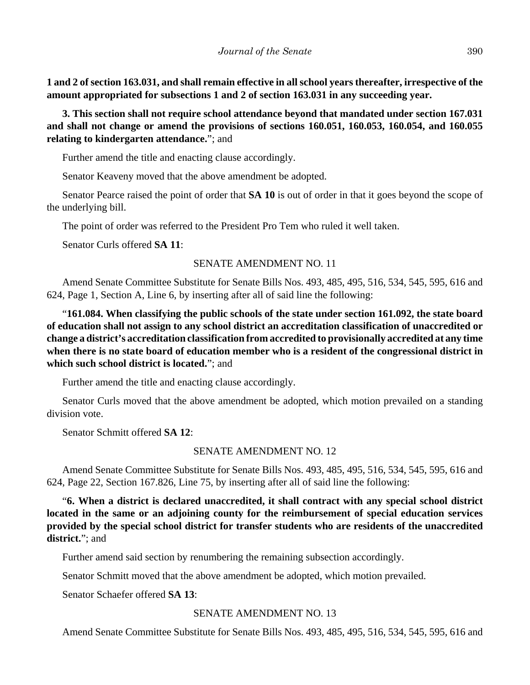**1 and 2 of section 163.031, and shall remain effective in all school years thereafter, irrespective of the amount appropriated for subsections 1 and 2 of section 163.031 in any succeeding year.**

**3. This section shall not require school attendance beyond that mandated under section 167.031 and shall not change or amend the provisions of sections 160.051, 160.053, 160.054, and 160.055 relating to kindergarten attendance.**"; and

Further amend the title and enacting clause accordingly.

Senator Keaveny moved that the above amendment be adopted.

Senator Pearce raised the point of order that **SA 10** is out of order in that it goes beyond the scope of the underlying bill.

The point of order was referred to the President Pro Tem who ruled it well taken.

Senator Curls offered **SA 11**:

# SENATE AMENDMENT NO. 11

Amend Senate Committee Substitute for Senate Bills Nos. 493, 485, 495, 516, 534, 545, 595, 616 and 624, Page 1, Section A, Line 6, by inserting after all of said line the following:

"**161.084. When classifying the public schools of the state under section 161.092, the state board of education shall not assign to any school district an accreditation classification of unaccredited or change a district's accreditation classification from accredited to provisionally accredited at any time when there is no state board of education member who is a resident of the congressional district in which such school district is located.**"; and

Further amend the title and enacting clause accordingly.

Senator Curls moved that the above amendment be adopted, which motion prevailed on a standing division vote.

Senator Schmitt offered **SA 12**:

# SENATE AMENDMENT NO. 12

Amend Senate Committee Substitute for Senate Bills Nos. 493, 485, 495, 516, 534, 545, 595, 616 and 624, Page 22, Section 167.826, Line 75, by inserting after all of said line the following:

"**6. When a district is declared unaccredited, it shall contract with any special school district located in the same or an adjoining county for the reimbursement of special education services provided by the special school district for transfer students who are residents of the unaccredited district.**"; and

Further amend said section by renumbering the remaining subsection accordingly.

Senator Schmitt moved that the above amendment be adopted, which motion prevailed.

Senator Schaefer offered **SA 13**:

# SENATE AMENDMENT NO. 13

Amend Senate Committee Substitute for Senate Bills Nos. 493, 485, 495, 516, 534, 545, 595, 616 and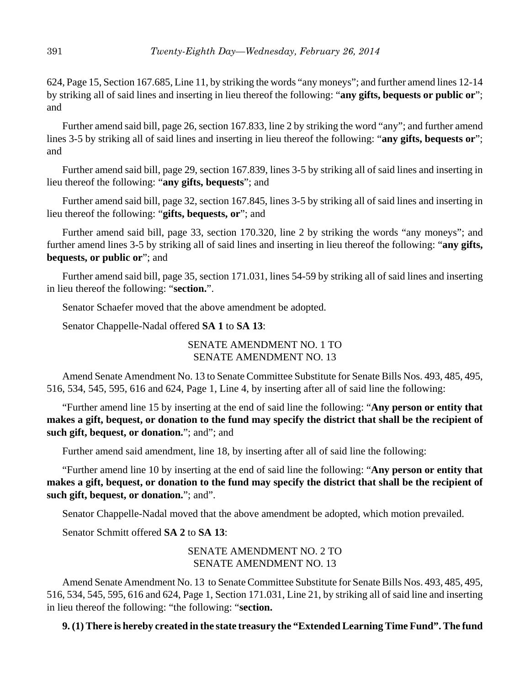624, Page 15, Section 167.685, Line 11, by striking the words "any moneys"; and further amend lines 12-14 by striking all of said lines and inserting in lieu thereof the following: "**any gifts, bequests or public or**"; and

Further amend said bill, page 26, section 167.833, line 2 by striking the word "any"; and further amend lines 3-5 by striking all of said lines and inserting in lieu thereof the following: "**any gifts, bequests or**"; and

Further amend said bill, page 29, section 167.839, lines 3-5 by striking all of said lines and inserting in lieu thereof the following: "**any gifts, bequests**"; and

Further amend said bill, page 32, section 167.845, lines 3-5 by striking all of said lines and inserting in lieu thereof the following: "**gifts, bequests, or**"; and

Further amend said bill, page 33, section 170.320, line 2 by striking the words "any moneys"; and further amend lines 3-5 by striking all of said lines and inserting in lieu thereof the following: "**any gifts, bequests, or public or**"; and

Further amend said bill, page 35, section 171.031, lines 54-59 by striking all of said lines and inserting in lieu thereof the following: "**section.**".

Senator Schaefer moved that the above amendment be adopted.

Senator Chappelle-Nadal offered **SA 1** to **SA 13**:

# SENATE AMENDMENT NO. 1 TO SENATE AMENDMENT NO. 13

Amend Senate Amendment No. 13 to Senate Committee Substitute for Senate Bills Nos. 493, 485, 495, 516, 534, 545, 595, 616 and 624, Page 1, Line 4, by inserting after all of said line the following:

"Further amend line 15 by inserting at the end of said line the following: "**Any person or entity that makes a gift, bequest, or donation to the fund may specify the district that shall be the recipient of such gift, bequest, or donation.**"; and"; and

Further amend said amendment, line 18, by inserting after all of said line the following:

"Further amend line 10 by inserting at the end of said line the following: "**Any person or entity that makes a gift, bequest, or donation to the fund may specify the district that shall be the recipient of such gift, bequest, or donation.**"; and".

Senator Chappelle-Nadal moved that the above amendment be adopted, which motion prevailed.

Senator Schmitt offered **SA 2** to **SA 13**:

# SENATE AMENDMENT NO. 2 TO SENATE AMENDMENT NO. 13

Amend Senate Amendment No. 13 to Senate Committee Substitute for Senate Bills Nos. 493, 485, 495, 516, 534, 545, 595, 616 and 624, Page 1, Section 171.031, Line 21, by striking all of said line and inserting in lieu thereof the following: "the following: "**section.**

**9. (1) There is hereby created in the state treasury the "Extended Learning Time Fund". The fund**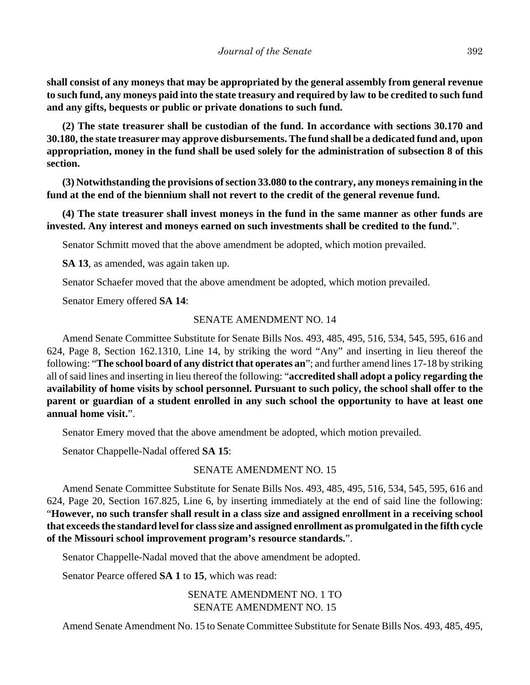**shall consist of any moneys that may be appropriated by the general assembly from general revenue to such fund, any moneys paid into the state treasury and required by law to be credited to such fund and any gifts, bequests or public or private donations to such fund.**

**(2) The state treasurer shall be custodian of the fund. In accordance with sections 30.170 and 30.180, the state treasurer may approve disbursements. The fund shall be a dedicated fund and, upon appropriation, money in the fund shall be used solely for the administration of subsection 8 of this section.**

**(3) Notwithstanding the provisions of section 33.080 to the contrary, any moneys remaining in the fund at the end of the biennium shall not revert to the credit of the general revenue fund.**

**(4) The state treasurer shall invest moneys in the fund in the same manner as other funds are invested. Any interest and moneys earned on such investments shall be credited to the fund.**".

Senator Schmitt moved that the above amendment be adopted, which motion prevailed.

**SA 13**, as amended, was again taken up.

Senator Schaefer moved that the above amendment be adopted, which motion prevailed.

Senator Emery offered **SA 14**:

# SENATE AMENDMENT NO. 14

Amend Senate Committee Substitute for Senate Bills Nos. 493, 485, 495, 516, 534, 545, 595, 616 and 624, Page 8, Section 162.1310, Line 14, by striking the word "Any" and inserting in lieu thereof the following: "**The school board of any district that operates an**"; and further amend lines 17-18 by striking all of said lines and inserting in lieu thereof the following: "**accredited shall adopt a policy regarding the availability of home visits by school personnel. Pursuant to such policy, the school shall offer to the parent or guardian of a student enrolled in any such school the opportunity to have at least one annual home visit.**".

Senator Emery moved that the above amendment be adopted, which motion prevailed.

Senator Chappelle-Nadal offered **SA 15**:

# SENATE AMENDMENT NO. 15

Amend Senate Committee Substitute for Senate Bills Nos. 493, 485, 495, 516, 534, 545, 595, 616 and 624, Page 20, Section 167.825, Line 6, by inserting immediately at the end of said line the following: "**However, no such transfer shall result in a class size and assigned enrollment in a receiving school that exceeds the standard level for class size and assigned enrollment as promulgated in the fifth cycle of the Missouri school improvement program's resource standards.**".

Senator Chappelle-Nadal moved that the above amendment be adopted.

Senator Pearce offered **SA 1** to **15**, which was read:

SENATE AMENDMENT NO. 1 TO SENATE AMENDMENT NO. 15

Amend Senate Amendment No. 15 to Senate Committee Substitute for Senate Bills Nos. 493, 485, 495,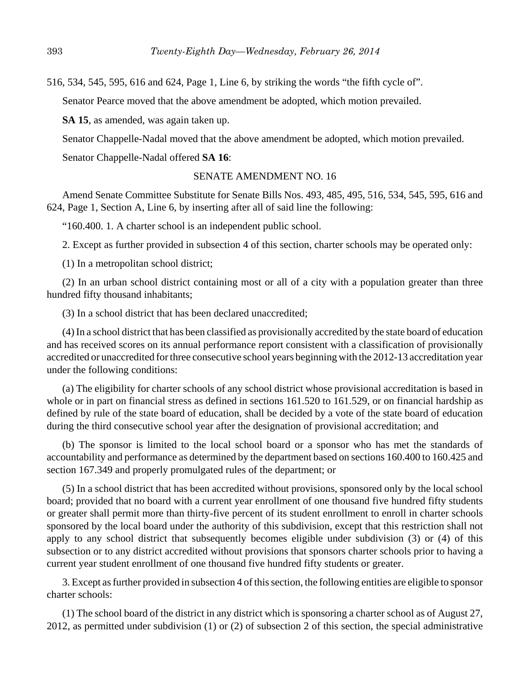516, 534, 545, 595, 616 and 624, Page 1, Line 6, by striking the words "the fifth cycle of".

Senator Pearce moved that the above amendment be adopted, which motion prevailed.

**SA 15**, as amended, was again taken up.

Senator Chappelle-Nadal moved that the above amendment be adopted, which motion prevailed.

Senator Chappelle-Nadal offered **SA 16**:

## SENATE AMENDMENT NO. 16

Amend Senate Committee Substitute for Senate Bills Nos. 493, 485, 495, 516, 534, 545, 595, 616 and 624, Page 1, Section A, Line 6, by inserting after all of said line the following:

"160.400. 1. A charter school is an independent public school.

2. Except as further provided in subsection 4 of this section, charter schools may be operated only:

(1) In a metropolitan school district;

(2) In an urban school district containing most or all of a city with a population greater than three hundred fifty thousand inhabitants;

(3) In a school district that has been declared unaccredited;

(4) In a school district that has been classified as provisionally accredited by the state board of education and has received scores on its annual performance report consistent with a classification of provisionally accredited or unaccredited for three consecutive school years beginning with the 2012-13 accreditation year under the following conditions:

(a) The eligibility for charter schools of any school district whose provisional accreditation is based in whole or in part on financial stress as defined in sections 161.520 to 161.529, or on financial hardship as defined by rule of the state board of education, shall be decided by a vote of the state board of education during the third consecutive school year after the designation of provisional accreditation; and

(b) The sponsor is limited to the local school board or a sponsor who has met the standards of accountability and performance as determined by the department based on sections 160.400 to 160.425 and section 167.349 and properly promulgated rules of the department; or

(5) In a school district that has been accredited without provisions, sponsored only by the local school board; provided that no board with a current year enrollment of one thousand five hundred fifty students or greater shall permit more than thirty-five percent of its student enrollment to enroll in charter schools sponsored by the local board under the authority of this subdivision, except that this restriction shall not apply to any school district that subsequently becomes eligible under subdivision (3) or (4) of this subsection or to any district accredited without provisions that sponsors charter schools prior to having a current year student enrollment of one thousand five hundred fifty students or greater.

3. Except as further provided in subsection 4 of this section, the following entities are eligible to sponsor charter schools:

(1) The school board of the district in any district which is sponsoring a charter school as of August 27, 2012, as permitted under subdivision (1) or (2) of subsection 2 of this section, the special administrative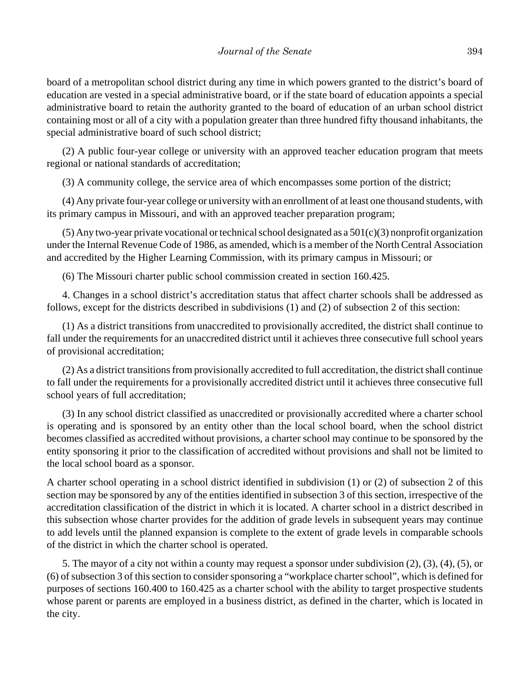board of a metropolitan school district during any time in which powers granted to the district's board of education are vested in a special administrative board, or if the state board of education appoints a special administrative board to retain the authority granted to the board of education of an urban school district containing most or all of a city with a population greater than three hundred fifty thousand inhabitants, the special administrative board of such school district;

(2) A public four-year college or university with an approved teacher education program that meets regional or national standards of accreditation;

(3) A community college, the service area of which encompasses some portion of the district;

(4) Any private four-year college or university with an enrollment of at least one thousand students, with its primary campus in Missouri, and with an approved teacher preparation program;

(5) Any two-year private vocational or technical school designated as a  $501(c)(3)$  nonprofit organization under the Internal Revenue Code of 1986, as amended, which is a member of the North Central Association and accredited by the Higher Learning Commission, with its primary campus in Missouri; or

(6) The Missouri charter public school commission created in section 160.425.

4. Changes in a school district's accreditation status that affect charter schools shall be addressed as follows, except for the districts described in subdivisions (1) and (2) of subsection 2 of this section:

(1) As a district transitions from unaccredited to provisionally accredited, the district shall continue to fall under the requirements for an unaccredited district until it achieves three consecutive full school years of provisional accreditation;

(2) As a district transitions from provisionally accredited to full accreditation, the district shall continue to fall under the requirements for a provisionally accredited district until it achieves three consecutive full school years of full accreditation;

(3) In any school district classified as unaccredited or provisionally accredited where a charter school is operating and is sponsored by an entity other than the local school board, when the school district becomes classified as accredited without provisions, a charter school may continue to be sponsored by the entity sponsoring it prior to the classification of accredited without provisions and shall not be limited to the local school board as a sponsor.

A charter school operating in a school district identified in subdivision (1) or (2) of subsection 2 of this section may be sponsored by any of the entities identified in subsection 3 of this section, irrespective of the accreditation classification of the district in which it is located. A charter school in a district described in this subsection whose charter provides for the addition of grade levels in subsequent years may continue to add levels until the planned expansion is complete to the extent of grade levels in comparable schools of the district in which the charter school is operated.

5. The mayor of a city not within a county may request a sponsor under subdivision (2), (3), (4), (5), or (6) of subsection 3 of this section to consider sponsoring a "workplace charter school", which is defined for purposes of sections 160.400 to 160.425 as a charter school with the ability to target prospective students whose parent or parents are employed in a business district, as defined in the charter, which is located in the city.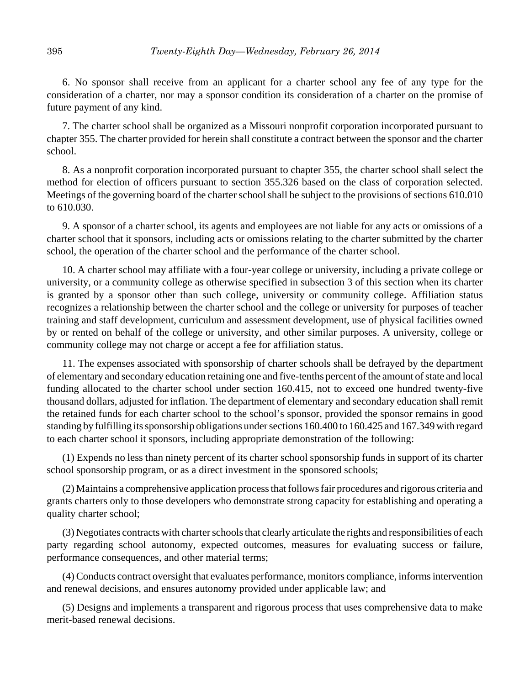6. No sponsor shall receive from an applicant for a charter school any fee of any type for the consideration of a charter, nor may a sponsor condition its consideration of a charter on the promise of future payment of any kind.

7. The charter school shall be organized as a Missouri nonprofit corporation incorporated pursuant to chapter 355. The charter provided for herein shall constitute a contract between the sponsor and the charter school.

8. As a nonprofit corporation incorporated pursuant to chapter 355, the charter school shall select the method for election of officers pursuant to section 355.326 based on the class of corporation selected. Meetings of the governing board of the charter school shall be subject to the provisions of sections 610.010 to 610.030.

9. A sponsor of a charter school, its agents and employees are not liable for any acts or omissions of a charter school that it sponsors, including acts or omissions relating to the charter submitted by the charter school, the operation of the charter school and the performance of the charter school.

10. A charter school may affiliate with a four-year college or university, including a private college or university, or a community college as otherwise specified in subsection 3 of this section when its charter is granted by a sponsor other than such college, university or community college. Affiliation status recognizes a relationship between the charter school and the college or university for purposes of teacher training and staff development, curriculum and assessment development, use of physical facilities owned by or rented on behalf of the college or university, and other similar purposes. A university, college or community college may not charge or accept a fee for affiliation status.

11. The expenses associated with sponsorship of charter schools shall be defrayed by the department of elementary and secondary education retaining one and five-tenths percent of the amount of state and local funding allocated to the charter school under section 160.415, not to exceed one hundred twenty-five thousand dollars, adjusted for inflation. The department of elementary and secondary education shall remit the retained funds for each charter school to the school's sponsor, provided the sponsor remains in good standing by fulfilling its sponsorship obligations under sections 160.400 to 160.425 and 167.349 with regard to each charter school it sponsors, including appropriate demonstration of the following:

(1) Expends no less than ninety percent of its charter school sponsorship funds in support of its charter school sponsorship program, or as a direct investment in the sponsored schools;

(2) Maintains a comprehensive application process that follows fair procedures and rigorous criteria and grants charters only to those developers who demonstrate strong capacity for establishing and operating a quality charter school;

(3) Negotiates contracts with charter schools that clearly articulate the rights and responsibilities of each party regarding school autonomy, expected outcomes, measures for evaluating success or failure, performance consequences, and other material terms;

(4) Conducts contract oversight that evaluates performance, monitors compliance, informs intervention and renewal decisions, and ensures autonomy provided under applicable law; and

(5) Designs and implements a transparent and rigorous process that uses comprehensive data to make merit-based renewal decisions.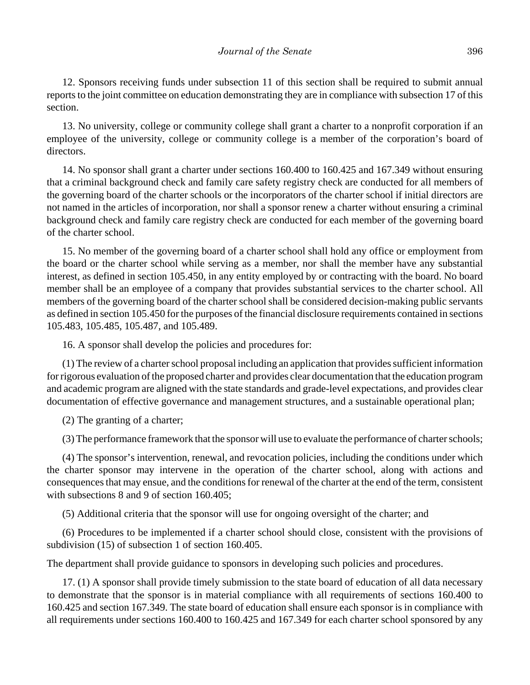12. Sponsors receiving funds under subsection 11 of this section shall be required to submit annual reports to the joint committee on education demonstrating they are in compliance with subsection 17 of this section.

13. No university, college or community college shall grant a charter to a nonprofit corporation if an employee of the university, college or community college is a member of the corporation's board of directors.

14. No sponsor shall grant a charter under sections 160.400 to 160.425 and 167.349 without ensuring that a criminal background check and family care safety registry check are conducted for all members of the governing board of the charter schools or the incorporators of the charter school if initial directors are not named in the articles of incorporation, nor shall a sponsor renew a charter without ensuring a criminal background check and family care registry check are conducted for each member of the governing board of the charter school.

15. No member of the governing board of a charter school shall hold any office or employment from the board or the charter school while serving as a member, nor shall the member have any substantial interest, as defined in section 105.450, in any entity employed by or contracting with the board. No board member shall be an employee of a company that provides substantial services to the charter school. All members of the governing board of the charter school shall be considered decision-making public servants as defined in section 105.450 for the purposes of the financial disclosure requirements contained in sections 105.483, 105.485, 105.487, and 105.489.

16. A sponsor shall develop the policies and procedures for:

(1) The review of a charter school proposal including an application that provides sufficient information for rigorous evaluation of the proposed charter and provides clear documentation that the education program and academic program are aligned with the state standards and grade-level expectations, and provides clear documentation of effective governance and management structures, and a sustainable operational plan;

(2) The granting of a charter;

(3) The performance framework that the sponsor will use to evaluate the performance of charter schools;

(4) The sponsor's intervention, renewal, and revocation policies, including the conditions under which the charter sponsor may intervene in the operation of the charter school, along with actions and consequences that may ensue, and the conditions for renewal of the charter at the end of the term, consistent with subsections 8 and 9 of section 160.405;

(5) Additional criteria that the sponsor will use for ongoing oversight of the charter; and

(6) Procedures to be implemented if a charter school should close, consistent with the provisions of subdivision (15) of subsection 1 of section 160.405.

The department shall provide guidance to sponsors in developing such policies and procedures.

17. (1) A sponsor shall provide timely submission to the state board of education of all data necessary to demonstrate that the sponsor is in material compliance with all requirements of sections 160.400 to 160.425 and section 167.349. The state board of education shall ensure each sponsor is in compliance with all requirements under sections 160.400 to 160.425 and 167.349 for each charter school sponsored by any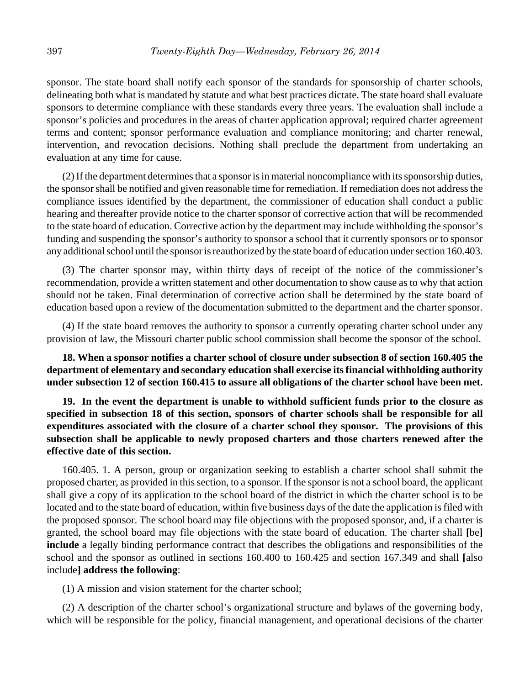sponsor. The state board shall notify each sponsor of the standards for sponsorship of charter schools, delineating both what is mandated by statute and what best practices dictate. The state board shall evaluate sponsors to determine compliance with these standards every three years. The evaluation shall include a sponsor's policies and procedures in the areas of charter application approval; required charter agreement terms and content; sponsor performance evaluation and compliance monitoring; and charter renewal, intervention, and revocation decisions. Nothing shall preclude the department from undertaking an evaluation at any time for cause.

(2) If the department determines that a sponsor is in material noncompliance with its sponsorship duties, the sponsor shall be notified and given reasonable time for remediation. If remediation does not address the compliance issues identified by the department, the commissioner of education shall conduct a public hearing and thereafter provide notice to the charter sponsor of corrective action that will be recommended to the state board of education. Corrective action by the department may include withholding the sponsor's funding and suspending the sponsor's authority to sponsor a school that it currently sponsors or to sponsor any additional school until the sponsor is reauthorized by the state board of education under section 160.403.

(3) The charter sponsor may, within thirty days of receipt of the notice of the commissioner's recommendation, provide a written statement and other documentation to show cause as to why that action should not be taken. Final determination of corrective action shall be determined by the state board of education based upon a review of the documentation submitted to the department and the charter sponsor.

(4) If the state board removes the authority to sponsor a currently operating charter school under any provision of law, the Missouri charter public school commission shall become the sponsor of the school.

**18. When a sponsor notifies a charter school of closure under subsection 8 of section 160.405 the department of elementary and secondary education shall exercise its financial withholding authority under subsection 12 of section 160.415 to assure all obligations of the charter school have been met.**

**19. In the event the department is unable to withhold sufficient funds prior to the closure as specified in subsection 18 of this section, sponsors of charter schools shall be responsible for all expenditures associated with the closure of a charter school they sponsor. The provisions of this subsection shall be applicable to newly proposed charters and those charters renewed after the effective date of this section.**

160.405. 1. A person, group or organization seeking to establish a charter school shall submit the proposed charter, as provided in this section, to a sponsor. If the sponsor is not a school board, the applicant shall give a copy of its application to the school board of the district in which the charter school is to be located and to the state board of education, within five business days of the date the application is filed with the proposed sponsor. The school board may file objections with the proposed sponsor, and, if a charter is granted, the school board may file objections with the state board of education. The charter shall **[**be**] include** a legally binding performance contract that describes the obligations and responsibilities of the school and the sponsor as outlined in sections 160.400 to 160.425 and section 167.349 and shall **[**also include**] address the following**:

(1) A mission and vision statement for the charter school;

(2) A description of the charter school's organizational structure and bylaws of the governing body, which will be responsible for the policy, financial management, and operational decisions of the charter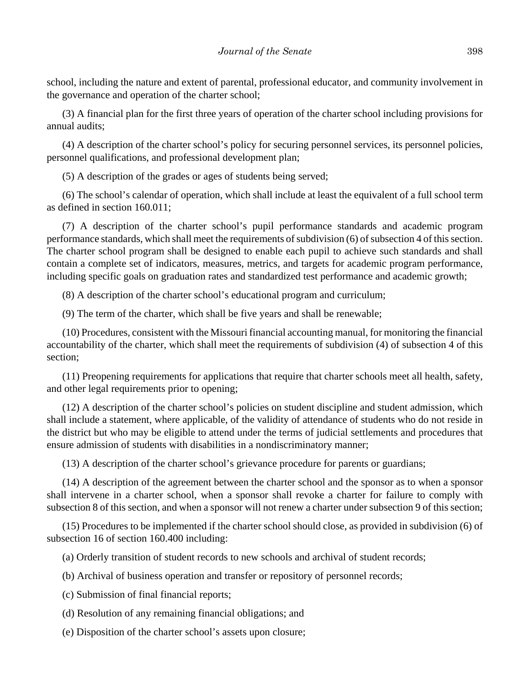school, including the nature and extent of parental, professional educator, and community involvement in the governance and operation of the charter school;

(3) A financial plan for the first three years of operation of the charter school including provisions for annual audits;

(4) A description of the charter school's policy for securing personnel services, its personnel policies, personnel qualifications, and professional development plan;

(5) A description of the grades or ages of students being served;

(6) The school's calendar of operation, which shall include at least the equivalent of a full school term as defined in section 160.011;

(7) A description of the charter school's pupil performance standards and academic program performance standards, which shall meet the requirements of subdivision (6) of subsection 4 of this section. The charter school program shall be designed to enable each pupil to achieve such standards and shall contain a complete set of indicators, measures, metrics, and targets for academic program performance, including specific goals on graduation rates and standardized test performance and academic growth;

(8) A description of the charter school's educational program and curriculum;

(9) The term of the charter, which shall be five years and shall be renewable;

(10) Procedures, consistent with the Missouri financial accounting manual, for monitoring the financial accountability of the charter, which shall meet the requirements of subdivision (4) of subsection 4 of this section;

(11) Preopening requirements for applications that require that charter schools meet all health, safety, and other legal requirements prior to opening;

(12) A description of the charter school's policies on student discipline and student admission, which shall include a statement, where applicable, of the validity of attendance of students who do not reside in the district but who may be eligible to attend under the terms of judicial settlements and procedures that ensure admission of students with disabilities in a nondiscriminatory manner;

(13) A description of the charter school's grievance procedure for parents or guardians;

(14) A description of the agreement between the charter school and the sponsor as to when a sponsor shall intervene in a charter school, when a sponsor shall revoke a charter for failure to comply with subsection 8 of this section, and when a sponsor will not renew a charter under subsection 9 of this section;

(15) Procedures to be implemented if the charter school should close, as provided in subdivision (6) of subsection 16 of section 160.400 including:

(a) Orderly transition of student records to new schools and archival of student records;

(b) Archival of business operation and transfer or repository of personnel records;

(c) Submission of final financial reports;

(d) Resolution of any remaining financial obligations; and

(e) Disposition of the charter school's assets upon closure;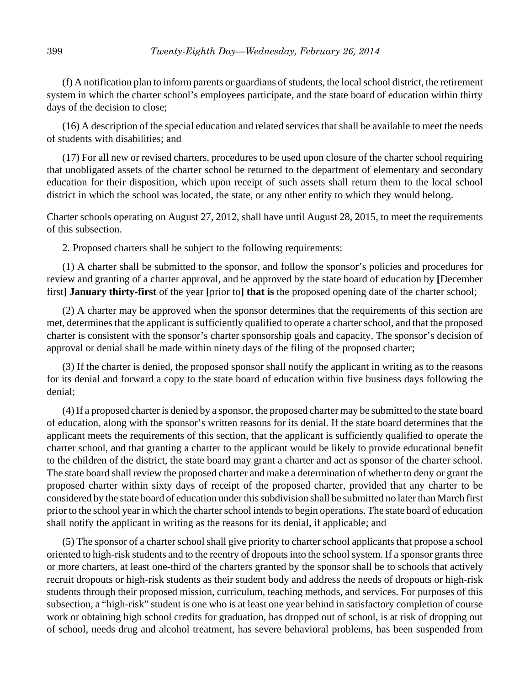(f) A notification plan to inform parents or guardians of students, the local school district, the retirement system in which the charter school's employees participate, and the state board of education within thirty days of the decision to close;

(16) A description of the special education and related services that shall be available to meet the needs of students with disabilities; and

(17) For all new or revised charters, procedures to be used upon closure of the charter school requiring that unobligated assets of the charter school be returned to the department of elementary and secondary education for their disposition, which upon receipt of such assets shall return them to the local school district in which the school was located, the state, or any other entity to which they would belong.

Charter schools operating on August 27, 2012, shall have until August 28, 2015, to meet the requirements of this subsection.

2. Proposed charters shall be subject to the following requirements:

(1) A charter shall be submitted to the sponsor, and follow the sponsor's policies and procedures for review and granting of a charter approval, and be approved by the state board of education by **[**December first**] January thirty-first** of the year **[**prior to**] that is** the proposed opening date of the charter school;

(2) A charter may be approved when the sponsor determines that the requirements of this section are met, determines that the applicant is sufficiently qualified to operate a charter school, and that the proposed charter is consistent with the sponsor's charter sponsorship goals and capacity. The sponsor's decision of approval or denial shall be made within ninety days of the filing of the proposed charter;

(3) If the charter is denied, the proposed sponsor shall notify the applicant in writing as to the reasons for its denial and forward a copy to the state board of education within five business days following the denial;

(4) If a proposed charter is denied by a sponsor, the proposed charter may be submitted to the state board of education, along with the sponsor's written reasons for its denial. If the state board determines that the applicant meets the requirements of this section, that the applicant is sufficiently qualified to operate the charter school, and that granting a charter to the applicant would be likely to provide educational benefit to the children of the district, the state board may grant a charter and act as sponsor of the charter school. The state board shall review the proposed charter and make a determination of whether to deny or grant the proposed charter within sixty days of receipt of the proposed charter, provided that any charter to be considered by the state board of education under this subdivision shall be submitted no later than March first prior to the school year in which the charter school intends to begin operations. The state board of education shall notify the applicant in writing as the reasons for its denial, if applicable; and

(5) The sponsor of a charter school shall give priority to charter school applicants that propose a school oriented to high-risk students and to the reentry of dropouts into the school system. If a sponsor grants three or more charters, at least one-third of the charters granted by the sponsor shall be to schools that actively recruit dropouts or high-risk students as their student body and address the needs of dropouts or high-risk students through their proposed mission, curriculum, teaching methods, and services. For purposes of this subsection, a "high-risk" student is one who is at least one year behind in satisfactory completion of course work or obtaining high school credits for graduation, has dropped out of school, is at risk of dropping out of school, needs drug and alcohol treatment, has severe behavioral problems, has been suspended from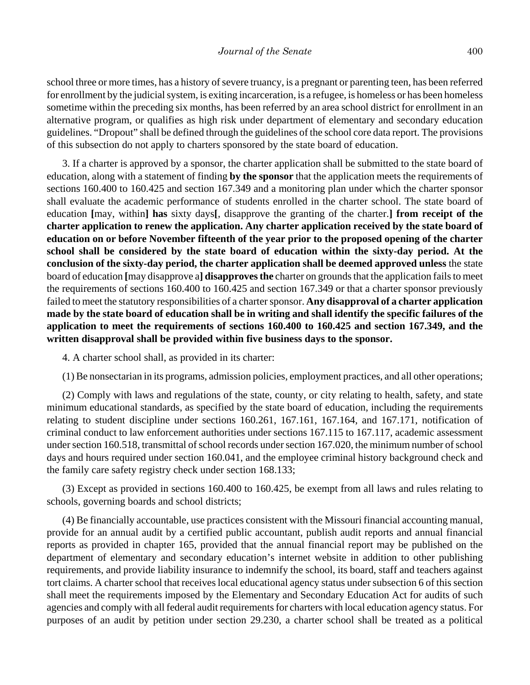school three or more times, has a history of severe truancy, is a pregnant or parenting teen, has been referred for enrollment by the judicial system, is exiting incarceration, is a refugee, is homeless or has been homeless sometime within the preceding six months, has been referred by an area school district for enrollment in an alternative program, or qualifies as high risk under department of elementary and secondary education guidelines. "Dropout" shall be defined through the guidelines of the school core data report. The provisions of this subsection do not apply to charters sponsored by the state board of education.

3. If a charter is approved by a sponsor, the charter application shall be submitted to the state board of education, along with a statement of finding **by the sponsor** that the application meets the requirements of sections 160.400 to 160.425 and section 167.349 and a monitoring plan under which the charter sponsor shall evaluate the academic performance of students enrolled in the charter school. The state board of education **[**may, within**] has** sixty days**[**, disapprove the granting of the charter.**] from receipt of the charter application to renew the application. Any charter application received by the state board of education on or before November fifteenth of the year prior to the proposed opening of the charter school shall be considered by the state board of education within the sixty-day period. At the conclusion of the sixty-day period, the charter application shall be deemed approved unless** the state board of education **[**may disapprove a**] disapproves the** charter on grounds that the application fails to meet the requirements of sections 160.400 to 160.425 and section 167.349 or that a charter sponsor previously failed to meet the statutory responsibilities of a charter sponsor. **Any disapproval of a charter application made by the state board of education shall be in writing and shall identify the specific failures of the application to meet the requirements of sections 160.400 to 160.425 and section 167.349, and the written disapproval shall be provided within five business days to the sponsor.**

4. A charter school shall, as provided in its charter:

(1) Be nonsectarian in its programs, admission policies, employment practices, and all other operations;

(2) Comply with laws and regulations of the state, county, or city relating to health, safety, and state minimum educational standards, as specified by the state board of education, including the requirements relating to student discipline under sections 160.261, 167.161, 167.164, and 167.171, notification of criminal conduct to law enforcement authorities under sections 167.115 to 167.117, academic assessment under section 160.518, transmittal of school records under section 167.020, the minimum number of school days and hours required under section 160.041, and the employee criminal history background check and the family care safety registry check under section 168.133;

(3) Except as provided in sections 160.400 to 160.425, be exempt from all laws and rules relating to schools, governing boards and school districts;

(4) Be financially accountable, use practices consistent with the Missouri financial accounting manual, provide for an annual audit by a certified public accountant, publish audit reports and annual financial reports as provided in chapter 165, provided that the annual financial report may be published on the department of elementary and secondary education's internet website in addition to other publishing requirements, and provide liability insurance to indemnify the school, its board, staff and teachers against tort claims. A charter school that receives local educational agency status under subsection 6 of this section shall meet the requirements imposed by the Elementary and Secondary Education Act for audits of such agencies and comply with all federal audit requirements for charters with local education agency status. For purposes of an audit by petition under section 29.230, a charter school shall be treated as a political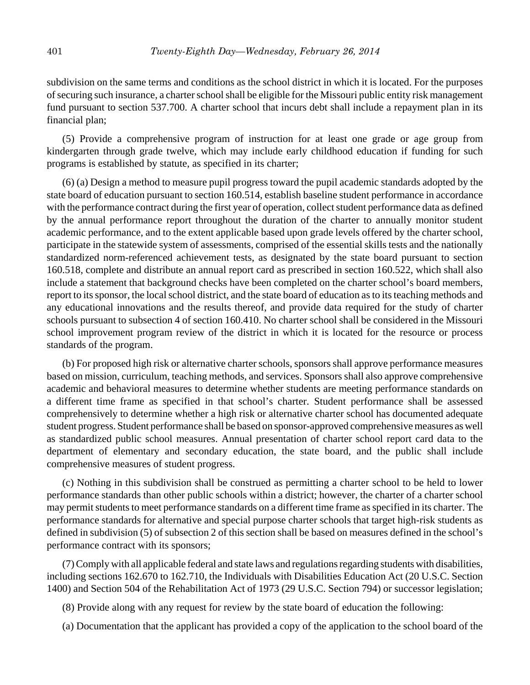subdivision on the same terms and conditions as the school district in which it is located. For the purposes of securing such insurance, a charter school shall be eligible for the Missouri public entity risk management fund pursuant to section 537.700. A charter school that incurs debt shall include a repayment plan in its financial plan;

(5) Provide a comprehensive program of instruction for at least one grade or age group from kindergarten through grade twelve, which may include early childhood education if funding for such programs is established by statute, as specified in its charter;

(6) (a) Design a method to measure pupil progress toward the pupil academic standards adopted by the state board of education pursuant to section 160.514, establish baseline student performance in accordance with the performance contract during the first year of operation, collect student performance data as defined by the annual performance report throughout the duration of the charter to annually monitor student academic performance, and to the extent applicable based upon grade levels offered by the charter school, participate in the statewide system of assessments, comprised of the essential skills tests and the nationally standardized norm-referenced achievement tests, as designated by the state board pursuant to section 160.518, complete and distribute an annual report card as prescribed in section 160.522, which shall also include a statement that background checks have been completed on the charter school's board members, report to its sponsor, the local school district, and the state board of education as to its teaching methods and any educational innovations and the results thereof, and provide data required for the study of charter schools pursuant to subsection 4 of section 160.410. No charter school shall be considered in the Missouri school improvement program review of the district in which it is located for the resource or process standards of the program.

(b) For proposed high risk or alternative charter schools, sponsors shall approve performance measures based on mission, curriculum, teaching methods, and services. Sponsors shall also approve comprehensive academic and behavioral measures to determine whether students are meeting performance standards on a different time frame as specified in that school's charter. Student performance shall be assessed comprehensively to determine whether a high risk or alternative charter school has documented adequate student progress. Student performance shall be based on sponsor-approved comprehensive measures as well as standardized public school measures. Annual presentation of charter school report card data to the department of elementary and secondary education, the state board, and the public shall include comprehensive measures of student progress.

(c) Nothing in this subdivision shall be construed as permitting a charter school to be held to lower performance standards than other public schools within a district; however, the charter of a charter school may permit students to meet performance standards on a different time frame as specified in its charter. The performance standards for alternative and special purpose charter schools that target high-risk students as defined in subdivision (5) of subsection 2 of this section shall be based on measures defined in the school's performance contract with its sponsors;

(7) Comply with all applicable federal and state laws and regulations regarding students with disabilities, including sections 162.670 to 162.710, the Individuals with Disabilities Education Act (20 U.S.C. Section 1400) and Section 504 of the Rehabilitation Act of 1973 (29 U.S.C. Section 794) or successor legislation;

(8) Provide along with any request for review by the state board of education the following:

(a) Documentation that the applicant has provided a copy of the application to the school board of the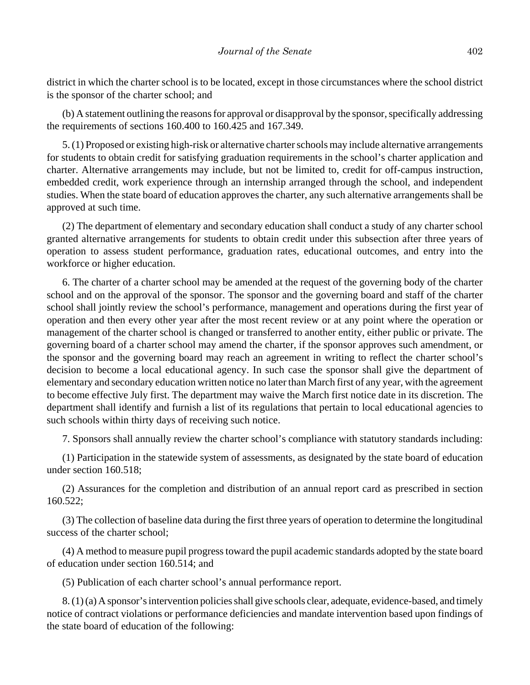district in which the charter school is to be located, except in those circumstances where the school district is the sponsor of the charter school; and

(b) A statement outlining the reasons for approval or disapproval by the sponsor, specifically addressing the requirements of sections 160.400 to 160.425 and 167.349.

5. (1) Proposed or existing high-risk or alternative charter schools may include alternative arrangements for students to obtain credit for satisfying graduation requirements in the school's charter application and charter. Alternative arrangements may include, but not be limited to, credit for off-campus instruction, embedded credit, work experience through an internship arranged through the school, and independent studies. When the state board of education approves the charter, any such alternative arrangements shall be approved at such time.

(2) The department of elementary and secondary education shall conduct a study of any charter school granted alternative arrangements for students to obtain credit under this subsection after three years of operation to assess student performance, graduation rates, educational outcomes, and entry into the workforce or higher education.

6. The charter of a charter school may be amended at the request of the governing body of the charter school and on the approval of the sponsor. The sponsor and the governing board and staff of the charter school shall jointly review the school's performance, management and operations during the first year of operation and then every other year after the most recent review or at any point where the operation or management of the charter school is changed or transferred to another entity, either public or private. The governing board of a charter school may amend the charter, if the sponsor approves such amendment, or the sponsor and the governing board may reach an agreement in writing to reflect the charter school's decision to become a local educational agency. In such case the sponsor shall give the department of elementary and secondary education written notice no later than March first of any year, with the agreement to become effective July first. The department may waive the March first notice date in its discretion. The department shall identify and furnish a list of its regulations that pertain to local educational agencies to such schools within thirty days of receiving such notice.

7. Sponsors shall annually review the charter school's compliance with statutory standards including:

(1) Participation in the statewide system of assessments, as designated by the state board of education under section 160.518;

(2) Assurances for the completion and distribution of an annual report card as prescribed in section 160.522;

(3) The collection of baseline data during the first three years of operation to determine the longitudinal success of the charter school;

(4) A method to measure pupil progress toward the pupil academic standards adopted by the state board of education under section 160.514; and

(5) Publication of each charter school's annual performance report.

8. (1) (a) A sponsor's intervention policies shall give schools clear, adequate, evidence-based, and timely notice of contract violations or performance deficiencies and mandate intervention based upon findings of the state board of education of the following: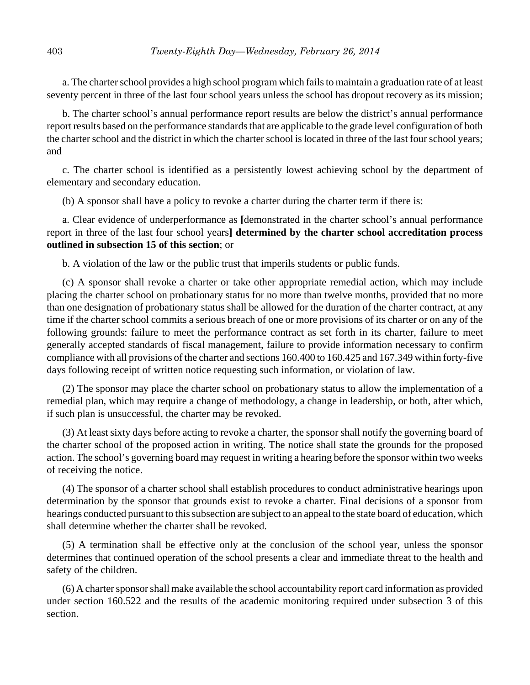a. The charter school provides a high school program which fails to maintain a graduation rate of at least seventy percent in three of the last four school years unless the school has dropout recovery as its mission;

b. The charter school's annual performance report results are below the district's annual performance report results based on the performance standards that are applicable to the grade level configuration of both the charter school and the district in which the charter school is located in three of the last four school years; and

c. The charter school is identified as a persistently lowest achieving school by the department of elementary and secondary education.

(b) A sponsor shall have a policy to revoke a charter during the charter term if there is:

a. Clear evidence of underperformance as **[**demonstrated in the charter school's annual performance report in three of the last four school years**] determined by the charter school accreditation process outlined in subsection 15 of this section**; or

b. A violation of the law or the public trust that imperils students or public funds.

(c) A sponsor shall revoke a charter or take other appropriate remedial action, which may include placing the charter school on probationary status for no more than twelve months, provided that no more than one designation of probationary status shall be allowed for the duration of the charter contract, at any time if the charter school commits a serious breach of one or more provisions of its charter or on any of the following grounds: failure to meet the performance contract as set forth in its charter, failure to meet generally accepted standards of fiscal management, failure to provide information necessary to confirm compliance with all provisions of the charter and sections 160.400 to 160.425 and 167.349 within forty-five days following receipt of written notice requesting such information, or violation of law.

(2) The sponsor may place the charter school on probationary status to allow the implementation of a remedial plan, which may require a change of methodology, a change in leadership, or both, after which, if such plan is unsuccessful, the charter may be revoked.

(3) At least sixty days before acting to revoke a charter, the sponsor shall notify the governing board of the charter school of the proposed action in writing. The notice shall state the grounds for the proposed action. The school's governing board may request in writing a hearing before the sponsor within two weeks of receiving the notice.

(4) The sponsor of a charter school shall establish procedures to conduct administrative hearings upon determination by the sponsor that grounds exist to revoke a charter. Final decisions of a sponsor from hearings conducted pursuant to this subsection are subject to an appeal to the state board of education, which shall determine whether the charter shall be revoked.

(5) A termination shall be effective only at the conclusion of the school year, unless the sponsor determines that continued operation of the school presents a clear and immediate threat to the health and safety of the children.

(6) A charter sponsor shall make available the school accountability report card information as provided under section 160.522 and the results of the academic monitoring required under subsection 3 of this section.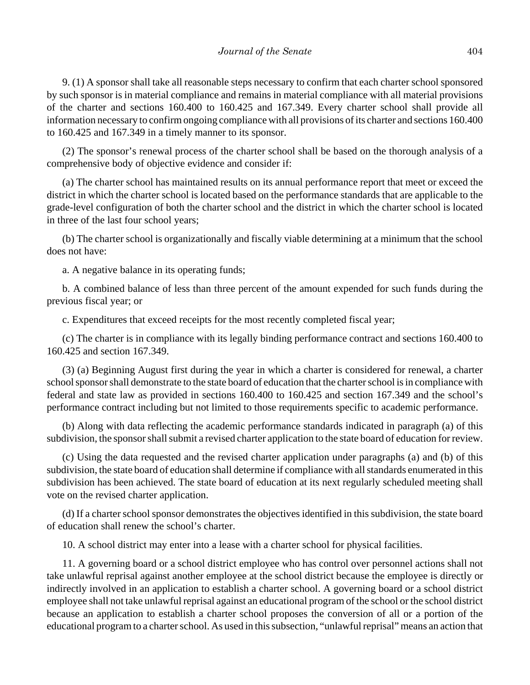9. (1) A sponsor shall take all reasonable steps necessary to confirm that each charter school sponsored by such sponsor is in material compliance and remains in material compliance with all material provisions of the charter and sections 160.400 to 160.425 and 167.349. Every charter school shall provide all information necessary to confirm ongoing compliance with all provisions of its charter and sections 160.400 to 160.425 and 167.349 in a timely manner to its sponsor.

(2) The sponsor's renewal process of the charter school shall be based on the thorough analysis of a comprehensive body of objective evidence and consider if:

(a) The charter school has maintained results on its annual performance report that meet or exceed the district in which the charter school is located based on the performance standards that are applicable to the grade-level configuration of both the charter school and the district in which the charter school is located in three of the last four school years;

(b) The charter school is organizationally and fiscally viable determining at a minimum that the school does not have:

a. A negative balance in its operating funds;

b. A combined balance of less than three percent of the amount expended for such funds during the previous fiscal year; or

c. Expenditures that exceed receipts for the most recently completed fiscal year;

(c) The charter is in compliance with its legally binding performance contract and sections 160.400 to 160.425 and section 167.349.

(3) (a) Beginning August first during the year in which a charter is considered for renewal, a charter school sponsor shall demonstrate to the state board of education that the charter school is in compliance with federal and state law as provided in sections 160.400 to 160.425 and section 167.349 and the school's performance contract including but not limited to those requirements specific to academic performance.

(b) Along with data reflecting the academic performance standards indicated in paragraph (a) of this subdivision, the sponsor shall submit a revised charter application to the state board of education for review.

(c) Using the data requested and the revised charter application under paragraphs (a) and (b) of this subdivision, the state board of education shall determine if compliance with all standards enumerated in this subdivision has been achieved. The state board of education at its next regularly scheduled meeting shall vote on the revised charter application.

(d) If a charter school sponsor demonstrates the objectives identified in this subdivision, the state board of education shall renew the school's charter.

10. A school district may enter into a lease with a charter school for physical facilities.

11. A governing board or a school district employee who has control over personnel actions shall not take unlawful reprisal against another employee at the school district because the employee is directly or indirectly involved in an application to establish a charter school. A governing board or a school district employee shall not take unlawful reprisal against an educational program of the school or the school district because an application to establish a charter school proposes the conversion of all or a portion of the educational program to a charter school. As used in this subsection, "unlawful reprisal" means an action that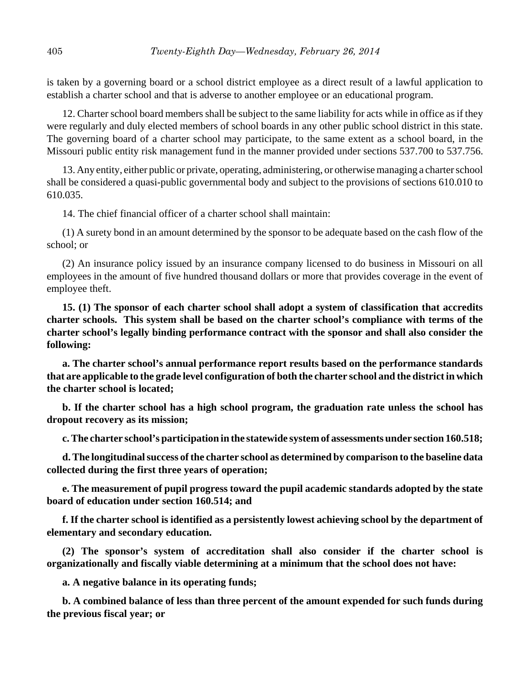is taken by a governing board or a school district employee as a direct result of a lawful application to establish a charter school and that is adverse to another employee or an educational program.

12. Charter school board members shall be subject to the same liability for acts while in office as if they were regularly and duly elected members of school boards in any other public school district in this state. The governing board of a charter school may participate, to the same extent as a school board, in the Missouri public entity risk management fund in the manner provided under sections 537.700 to 537.756.

13. Any entity, either public or private, operating, administering, or otherwise managing a charter school shall be considered a quasi-public governmental body and subject to the provisions of sections 610.010 to 610.035.

14. The chief financial officer of a charter school shall maintain:

(1) A surety bond in an amount determined by the sponsor to be adequate based on the cash flow of the school; or

(2) An insurance policy issued by an insurance company licensed to do business in Missouri on all employees in the amount of five hundred thousand dollars or more that provides coverage in the event of employee theft.

**15. (1) The sponsor of each charter school shall adopt a system of classification that accredits charter schools. This system shall be based on the charter school's compliance with terms of the charter school's legally binding performance contract with the sponsor and shall also consider the following:**

**a. The charter school's annual performance report results based on the performance standards that are applicable to the grade level configuration of both the charter school and the district in which the charter school is located;**

**b. If the charter school has a high school program, the graduation rate unless the school has dropout recovery as its mission;**

**c. The charter school's participation in the statewide system of assessments under section 160.518;**

**d. The longitudinal success of the charter school as determined by comparison to the baseline data collected during the first three years of operation;**

**e. The measurement of pupil progress toward the pupil academic standards adopted by the state board of education under section 160.514; and**

**f. If the charter school is identified as a persistently lowest achieving school by the department of elementary and secondary education.**

**(2) The sponsor's system of accreditation shall also consider if the charter school is organizationally and fiscally viable determining at a minimum that the school does not have:**

**a. A negative balance in its operating funds;**

**b. A combined balance of less than three percent of the amount expended for such funds during the previous fiscal year; or**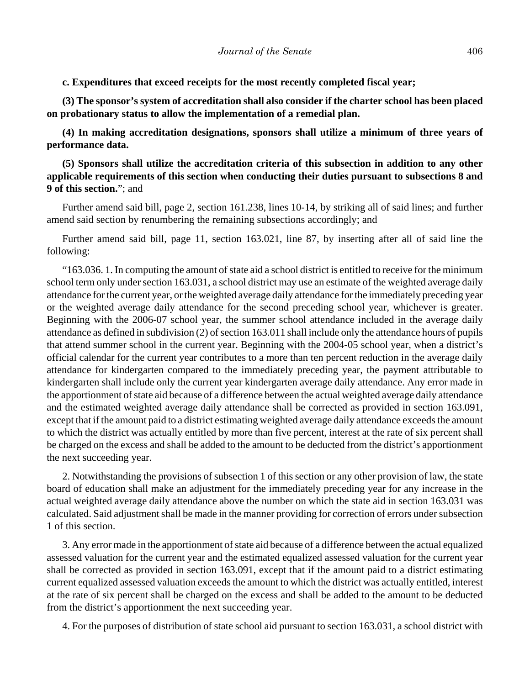**c. Expenditures that exceed receipts for the most recently completed fiscal year;**

**(3) The sponsor's system of accreditation shall also consider if the charter school has been placed on probationary status to allow the implementation of a remedial plan.**

**(4) In making accreditation designations, sponsors shall utilize a minimum of three years of performance data.**

**(5) Sponsors shall utilize the accreditation criteria of this subsection in addition to any other applicable requirements of this section when conducting their duties pursuant to subsections 8 and 9 of this section.**"; and

Further amend said bill, page 2, section 161.238, lines 10-14, by striking all of said lines; and further amend said section by renumbering the remaining subsections accordingly; and

Further amend said bill, page 11, section 163.021, line 87, by inserting after all of said line the following:

"163.036. 1. In computing the amount of state aid a school district is entitled to receive for the minimum school term only under section 163.031, a school district may use an estimate of the weighted average daily attendance for the current year, or the weighted average daily attendance for the immediately preceding year or the weighted average daily attendance for the second preceding school year, whichever is greater. Beginning with the 2006-07 school year, the summer school attendance included in the average daily attendance as defined in subdivision (2) of section 163.011 shall include only the attendance hours of pupils that attend summer school in the current year. Beginning with the 2004-05 school year, when a district's official calendar for the current year contributes to a more than ten percent reduction in the average daily attendance for kindergarten compared to the immediately preceding year, the payment attributable to kindergarten shall include only the current year kindergarten average daily attendance. Any error made in the apportionment of state aid because of a difference between the actual weighted average daily attendance and the estimated weighted average daily attendance shall be corrected as provided in section 163.091, except that if the amount paid to a district estimating weighted average daily attendance exceeds the amount to which the district was actually entitled by more than five percent, interest at the rate of six percent shall be charged on the excess and shall be added to the amount to be deducted from the district's apportionment the next succeeding year.

2. Notwithstanding the provisions of subsection 1 of this section or any other provision of law, the state board of education shall make an adjustment for the immediately preceding year for any increase in the actual weighted average daily attendance above the number on which the state aid in section 163.031 was calculated. Said adjustment shall be made in the manner providing for correction of errors under subsection 1 of this section.

3. Any error made in the apportionment of state aid because of a difference between the actual equalized assessed valuation for the current year and the estimated equalized assessed valuation for the current year shall be corrected as provided in section 163.091, except that if the amount paid to a district estimating current equalized assessed valuation exceeds the amount to which the district was actually entitled, interest at the rate of six percent shall be charged on the excess and shall be added to the amount to be deducted from the district's apportionment the next succeeding year.

4. For the purposes of distribution of state school aid pursuant to section 163.031, a school district with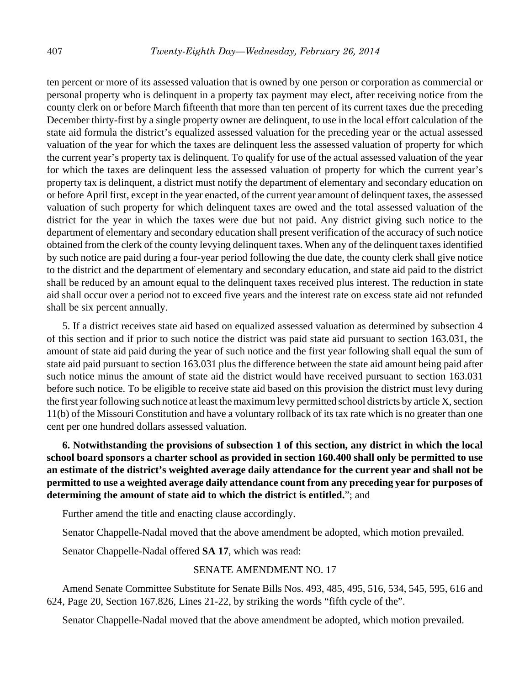ten percent or more of its assessed valuation that is owned by one person or corporation as commercial or personal property who is delinquent in a property tax payment may elect, after receiving notice from the county clerk on or before March fifteenth that more than ten percent of its current taxes due the preceding December thirty-first by a single property owner are delinquent, to use in the local effort calculation of the state aid formula the district's equalized assessed valuation for the preceding year or the actual assessed valuation of the year for which the taxes are delinquent less the assessed valuation of property for which the current year's property tax is delinquent. To qualify for use of the actual assessed valuation of the year for which the taxes are delinquent less the assessed valuation of property for which the current year's property tax is delinquent, a district must notify the department of elementary and secondary education on or before April first, except in the year enacted, of the current year amount of delinquent taxes, the assessed valuation of such property for which delinquent taxes are owed and the total assessed valuation of the district for the year in which the taxes were due but not paid. Any district giving such notice to the department of elementary and secondary education shall present verification of the accuracy of such notice obtained from the clerk of the county levying delinquent taxes. When any of the delinquent taxes identified by such notice are paid during a four-year period following the due date, the county clerk shall give notice to the district and the department of elementary and secondary education, and state aid paid to the district shall be reduced by an amount equal to the delinquent taxes received plus interest. The reduction in state aid shall occur over a period not to exceed five years and the interest rate on excess state aid not refunded shall be six percent annually.

5. If a district receives state aid based on equalized assessed valuation as determined by subsection 4 of this section and if prior to such notice the district was paid state aid pursuant to section 163.031, the amount of state aid paid during the year of such notice and the first year following shall equal the sum of state aid paid pursuant to section 163.031 plus the difference between the state aid amount being paid after such notice minus the amount of state aid the district would have received pursuant to section 163.031 before such notice. To be eligible to receive state aid based on this provision the district must levy during the first year following such notice at least the maximum levy permitted school districts by article X, section 11(b) of the Missouri Constitution and have a voluntary rollback of its tax rate which is no greater than one cent per one hundred dollars assessed valuation.

**6. Notwithstanding the provisions of subsection 1 of this section, any district in which the local school board sponsors a charter school as provided in section 160.400 shall only be permitted to use an estimate of the district's weighted average daily attendance for the current year and shall not be permitted to use a weighted average daily attendance count from any preceding year for purposes of determining the amount of state aid to which the district is entitled.**"; and

Further amend the title and enacting clause accordingly.

Senator Chappelle-Nadal moved that the above amendment be adopted, which motion prevailed.

Senator Chappelle-Nadal offered **SA 17**, which was read:

## SENATE AMENDMENT NO. 17

Amend Senate Committee Substitute for Senate Bills Nos. 493, 485, 495, 516, 534, 545, 595, 616 and 624, Page 20, Section 167.826, Lines 21-22, by striking the words "fifth cycle of the".

Senator Chappelle-Nadal moved that the above amendment be adopted, which motion prevailed.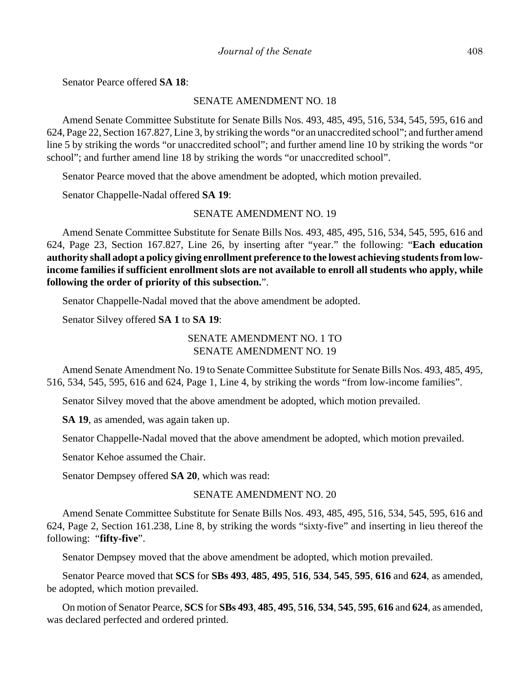Senator Pearce offered **SA 18**:

## SENATE AMENDMENT NO. 18

Amend Senate Committee Substitute for Senate Bills Nos. 493, 485, 495, 516, 534, 545, 595, 616 and 624, Page 22, Section 167.827, Line 3, by striking the words "or an unaccredited school"; and further amend line 5 by striking the words "or unaccredited school"; and further amend line 10 by striking the words "or school"; and further amend line 18 by striking the words "or unaccredited school".

Senator Pearce moved that the above amendment be adopted, which motion prevailed.

Senator Chappelle-Nadal offered **SA 19**:

# SENATE AMENDMENT NO. 19

Amend Senate Committee Substitute for Senate Bills Nos. 493, 485, 495, 516, 534, 545, 595, 616 and 624, Page 23, Section 167.827, Line 26, by inserting after "year." the following: "**Each education authority shall adopt a policy giving enrollment preference to the lowest achieving students from lowincome families if sufficient enrollment slots are not available to enroll all students who apply, while following the order of priority of this subsection.**".

Senator Chappelle-Nadal moved that the above amendment be adopted.

Senator Silvey offered **SA 1** to **SA 19**:

# SENATE AMENDMENT NO. 1 TO SENATE AMENDMENT NO. 19

Amend Senate Amendment No. 19 to Senate Committee Substitute for Senate Bills Nos. 493, 485, 495, 516, 534, 545, 595, 616 and 624, Page 1, Line 4, by striking the words "from low-income families".

Senator Silvey moved that the above amendment be adopted, which motion prevailed.

**SA 19**, as amended, was again taken up.

Senator Chappelle-Nadal moved that the above amendment be adopted, which motion prevailed.

Senator Kehoe assumed the Chair.

Senator Dempsey offered **SA 20**, which was read:

## SENATE AMENDMENT NO. 20

Amend Senate Committee Substitute for Senate Bills Nos. 493, 485, 495, 516, 534, 545, 595, 616 and 624, Page 2, Section 161.238, Line 8, by striking the words "sixty-five" and inserting in lieu thereof the following: "**fifty-five**".

Senator Dempsey moved that the above amendment be adopted, which motion prevailed.

Senator Pearce moved that **SCS** for **SBs 493**, **485**, **495**, **516**, **534**, **545**, **595**, **616** and **624**, as amended, be adopted, which motion prevailed.

On motion of Senator Pearce, **SCS** for **SBs 493**, **485**, **495**, **516**, **534**, **545**, **595**, **616** and **624**, as amended, was declared perfected and ordered printed.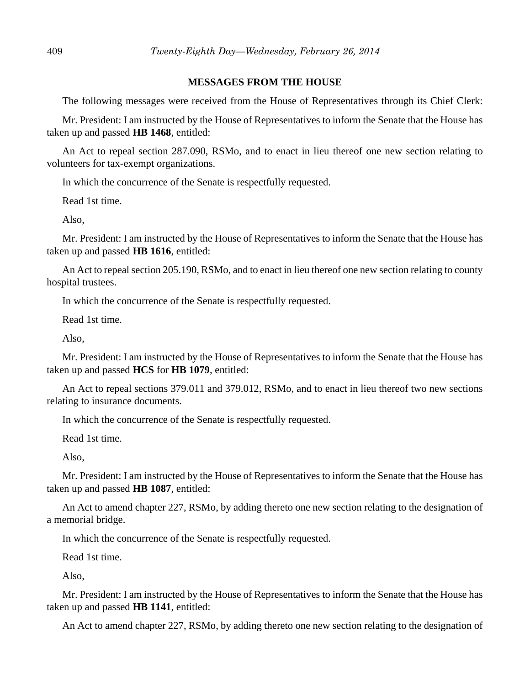## **MESSAGES FROM THE HOUSE**

The following messages were received from the House of Representatives through its Chief Clerk:

Mr. President: I am instructed by the House of Representatives to inform the Senate that the House has taken up and passed **HB 1468**, entitled:

An Act to repeal section 287.090, RSMo, and to enact in lieu thereof one new section relating to volunteers for tax-exempt organizations.

In which the concurrence of the Senate is respectfully requested.

Read 1st time.

Also,

Mr. President: I am instructed by the House of Representatives to inform the Senate that the House has taken up and passed **HB 1616**, entitled:

An Act to repeal section 205.190, RSMo, and to enact in lieu thereof one new section relating to county hospital trustees.

In which the concurrence of the Senate is respectfully requested.

Read 1st time.

Also,

Mr. President: I am instructed by the House of Representatives to inform the Senate that the House has taken up and passed **HCS** for **HB 1079**, entitled:

An Act to repeal sections 379.011 and 379.012, RSMo, and to enact in lieu thereof two new sections relating to insurance documents.

In which the concurrence of the Senate is respectfully requested.

Read 1st time.

Also,

Mr. President: I am instructed by the House of Representatives to inform the Senate that the House has taken up and passed **HB 1087**, entitled:

An Act to amend chapter 227, RSMo, by adding thereto one new section relating to the designation of a memorial bridge.

In which the concurrence of the Senate is respectfully requested.

Read 1st time.

Also,

Mr. President: I am instructed by the House of Representatives to inform the Senate that the House has taken up and passed **HB 1141**, entitled:

An Act to amend chapter 227, RSMo, by adding thereto one new section relating to the designation of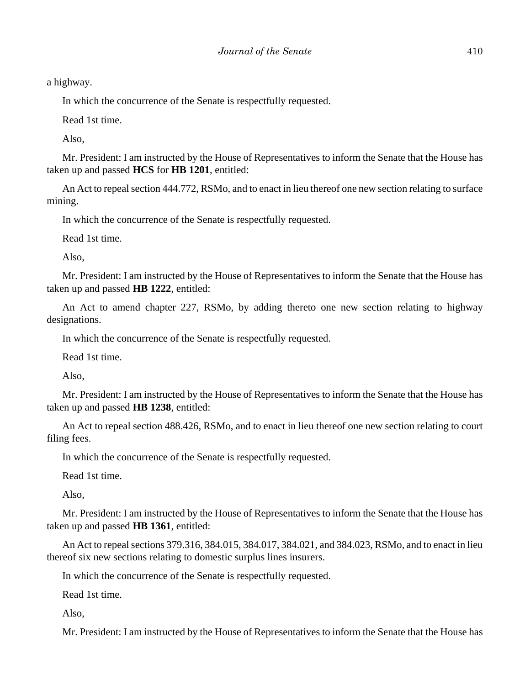a highway.

In which the concurrence of the Senate is respectfully requested.

Read 1st time.

Also,

Mr. President: I am instructed by the House of Representatives to inform the Senate that the House has taken up and passed **HCS** for **HB 1201**, entitled:

An Act to repeal section 444.772, RSMo, and to enact in lieu thereof one new section relating to surface mining.

In which the concurrence of the Senate is respectfully requested.

Read 1st time.

Also,

Mr. President: I am instructed by the House of Representatives to inform the Senate that the House has taken up and passed **HB 1222**, entitled:

An Act to amend chapter 227, RSMo, by adding thereto one new section relating to highway designations.

In which the concurrence of the Senate is respectfully requested.

Read 1st time.

Also,

Mr. President: I am instructed by the House of Representatives to inform the Senate that the House has taken up and passed **HB 1238**, entitled:

An Act to repeal section 488.426, RSMo, and to enact in lieu thereof one new section relating to court filing fees.

In which the concurrence of the Senate is respectfully requested.

Read 1st time.

Also,

Mr. President: I am instructed by the House of Representatives to inform the Senate that the House has taken up and passed **HB 1361**, entitled:

An Act to repeal sections 379.316, 384.015, 384.017, 384.021, and 384.023, RSMo, and to enact in lieu thereof six new sections relating to domestic surplus lines insurers.

In which the concurrence of the Senate is respectfully requested.

Read 1st time.

Also,

Mr. President: I am instructed by the House of Representatives to inform the Senate that the House has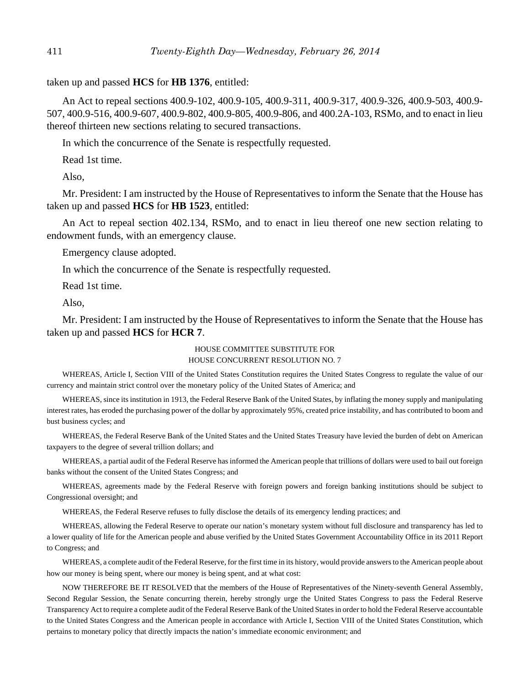taken up and passed **HCS** for **HB 1376**, entitled:

An Act to repeal sections 400.9-102, 400.9-105, 400.9-311, 400.9-317, 400.9-326, 400.9-503, 400.9- 507, 400.9-516, 400.9-607, 400.9-802, 400.9-805, 400.9-806, and 400.2A-103, RSMo, and to enact in lieu thereof thirteen new sections relating to secured transactions.

In which the concurrence of the Senate is respectfully requested.

Read 1st time.

Also,

Mr. President: I am instructed by the House of Representatives to inform the Senate that the House has taken up and passed **HCS** for **HB 1523**, entitled:

An Act to repeal section 402.134, RSMo, and to enact in lieu thereof one new section relating to endowment funds, with an emergency clause.

Emergency clause adopted.

In which the concurrence of the Senate is respectfully requested.

Read 1st time.

Also,

Mr. President: I am instructed by the House of Representatives to inform the Senate that the House has taken up and passed **HCS** for **HCR 7**.

#### HOUSE COMMITTEE SUBSTITUTE FOR HOUSE CONCURRENT RESOLUTION NO. 7

WHEREAS, Article I, Section VIII of the United States Constitution requires the United States Congress to regulate the value of our currency and maintain strict control over the monetary policy of the United States of America; and

WHEREAS, since its institution in 1913, the Federal Reserve Bank of the United States, by inflating the money supply and manipulating interest rates, has eroded the purchasing power of the dollar by approximately 95%, created price instability, and has contributed to boom and bust business cycles; and

WHEREAS, the Federal Reserve Bank of the United States and the United States Treasury have levied the burden of debt on American taxpayers to the degree of several trillion dollars; and

WHEREAS, a partial audit of the Federal Reserve has informed the American people that trillions of dollars were used to bail out foreign banks without the consent of the United States Congress; and

WHEREAS, agreements made by the Federal Reserve with foreign powers and foreign banking institutions should be subject to Congressional oversight; and

WHEREAS, the Federal Reserve refuses to fully disclose the details of its emergency lending practices; and

WHEREAS, allowing the Federal Reserve to operate our nation's monetary system without full disclosure and transparency has led to a lower quality of life for the American people and abuse verified by the United States Government Accountability Office in its 2011 Report to Congress; and

WHEREAS, a complete audit of the Federal Reserve, for the first time in its history, would provide answers to the American people about how our money is being spent, where our money is being spent, and at what cost:

NOW THEREFORE BE IT RESOLVED that the members of the House of Representatives of the Ninety-seventh General Assembly, Second Regular Session, the Senate concurring therein, hereby strongly urge the United States Congress to pass the Federal Reserve Transparency Act to require a complete audit of the Federal Reserve Bank of the United States in order to hold the Federal Reserve accountable to the United States Congress and the American people in accordance with Article I, Section VIII of the United States Constitution, which pertains to monetary policy that directly impacts the nation's immediate economic environment; and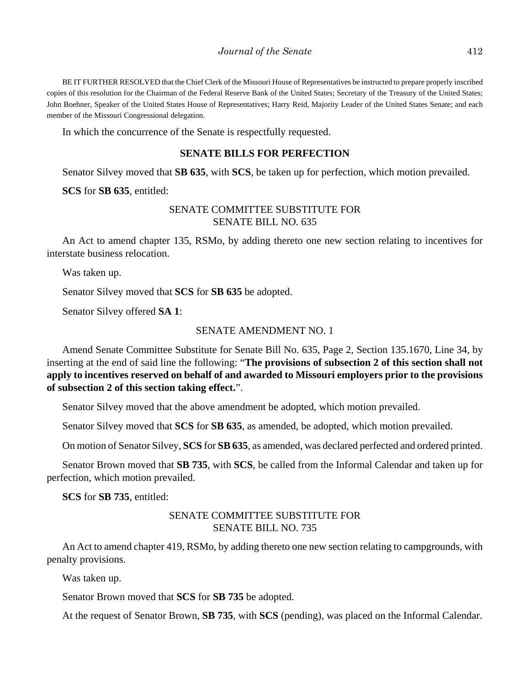BE IT FURTHER RESOLVED that the Chief Clerk of the Missouri House of Representatives be instructed to prepare properly inscribed copies of this resolution for the Chairman of the Federal Reserve Bank of the United States; Secretary of the Treasury of the United States; John Boehner, Speaker of the United States House of Representatives; Harry Reid, Majority Leader of the United States Senate; and each member of the Missouri Congressional delegation.

In which the concurrence of the Senate is respectfully requested.

## **SENATE BILLS FOR PERFECTION**

Senator Silvey moved that **SB 635**, with **SCS**, be taken up for perfection, which motion prevailed.

**SCS** for **SB 635**, entitled:

# SENATE COMMITTEE SUBSTITUTE FOR SENATE BILL NO. 635

An Act to amend chapter 135, RSMo, by adding thereto one new section relating to incentives for interstate business relocation.

Was taken up.

Senator Silvey moved that **SCS** for **SB 635** be adopted.

Senator Silvey offered **SA 1**:

# SENATE AMENDMENT NO. 1

Amend Senate Committee Substitute for Senate Bill No. 635, Page 2, Section 135.1670, Line 34, by inserting at the end of said line the following: "**The provisions of subsection 2 of this section shall not apply to incentives reserved on behalf of and awarded to Missouri employers prior to the provisions of subsection 2 of this section taking effect.**".

Senator Silvey moved that the above amendment be adopted, which motion prevailed.

Senator Silvey moved that **SCS** for **SB 635**, as amended, be adopted, which motion prevailed.

On motion of Senator Silvey, **SCS** for **SB 635**, as amended, was declared perfected and ordered printed.

Senator Brown moved that **SB 735**, with **SCS**, be called from the Informal Calendar and taken up for perfection, which motion prevailed.

**SCS** for **SB 735**, entitled:

# SENATE COMMITTEE SUBSTITUTE FOR SENATE BILL NO. 735

An Act to amend chapter 419, RSMo, by adding thereto one new section relating to campgrounds, with penalty provisions.

Was taken up.

Senator Brown moved that **SCS** for **SB 735** be adopted.

At the request of Senator Brown, **SB 735**, with **SCS** (pending), was placed on the Informal Calendar.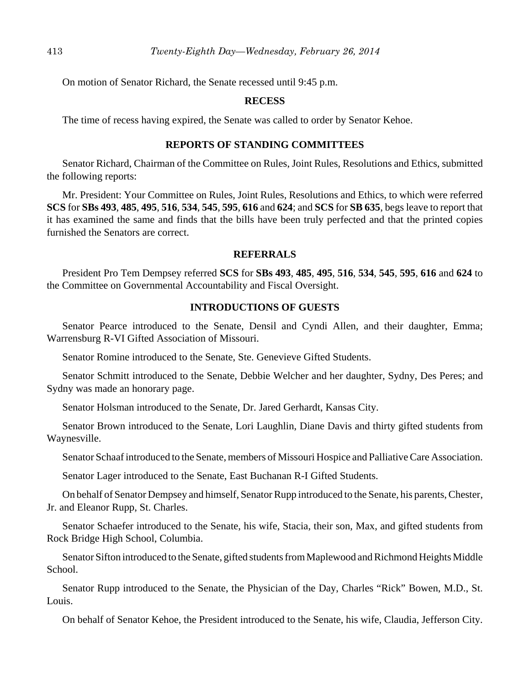On motion of Senator Richard, the Senate recessed until 9:45 p.m.

## **RECESS**

The time of recess having expired, the Senate was called to order by Senator Kehoe.

# **REPORTS OF STANDING COMMITTEES**

Senator Richard, Chairman of the Committee on Rules, Joint Rules, Resolutions and Ethics, submitted the following reports:

Mr. President: Your Committee on Rules, Joint Rules, Resolutions and Ethics, to which were referred **SCS** for **SBs 493**, **485**, **495**, **516**, **534**, **545**, **595**, **616** and **624**; and **SCS** for **SB 635**, begs leave to report that it has examined the same and finds that the bills have been truly perfected and that the printed copies furnished the Senators are correct.

## **REFERRALS**

President Pro Tem Dempsey referred **SCS** for **SBs 493**, **485**, **495**, **516**, **534**, **545**, **595**, **616** and **624** to the Committee on Governmental Accountability and Fiscal Oversight.

# **INTRODUCTIONS OF GUESTS**

Senator Pearce introduced to the Senate, Densil and Cyndi Allen, and their daughter, Emma; Warrensburg R-VI Gifted Association of Missouri.

Senator Romine introduced to the Senate, Ste. Genevieve Gifted Students.

Senator Schmitt introduced to the Senate, Debbie Welcher and her daughter, Sydny, Des Peres; and Sydny was made an honorary page.

Senator Holsman introduced to the Senate, Dr. Jared Gerhardt, Kansas City.

Senator Brown introduced to the Senate, Lori Laughlin, Diane Davis and thirty gifted students from Waynesville.

Senator Schaaf introduced to the Senate, members of Missouri Hospice and Palliative Care Association.

Senator Lager introduced to the Senate, East Buchanan R-I Gifted Students.

On behalf of Senator Dempsey and himself, Senator Rupp introduced to the Senate, his parents, Chester, Jr. and Eleanor Rupp, St. Charles.

Senator Schaefer introduced to the Senate, his wife, Stacia, their son, Max, and gifted students from Rock Bridge High School, Columbia.

Senator Sifton introduced to the Senate, gifted students from Maplewood and Richmond Heights Middle School.

Senator Rupp introduced to the Senate, the Physician of the Day, Charles "Rick" Bowen, M.D., St. Louis.

On behalf of Senator Kehoe, the President introduced to the Senate, his wife, Claudia, Jefferson City.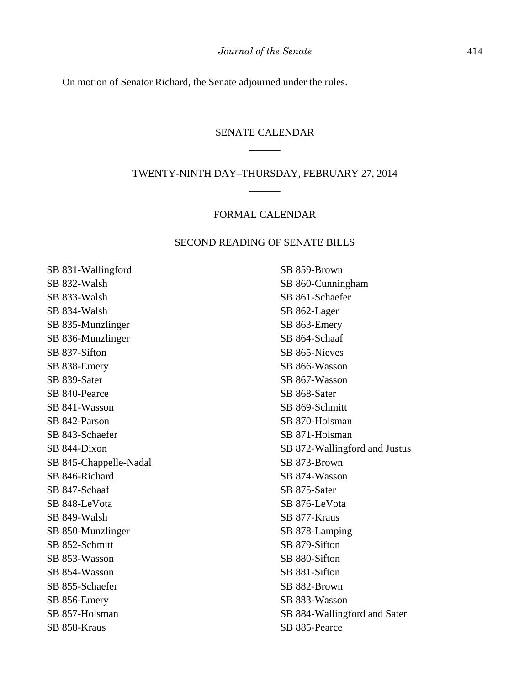On motion of Senator Richard, the Senate adjourned under the rules.

# SENATE CALENDAR \_\_\_\_\_\_

# TWENTY-NINTH DAY–THURSDAY, FEBRUARY 27, 2014 \_\_\_\_\_\_

# FORMAL CALENDAR

# SECOND READING OF SENATE BILLS

SB 831-Wallingford SB 832-Walsh SB 833-Walsh SB 834-Walsh SB 835-Munzlinger SB 836-Munzlinger SB 837-Sifton SB 838-Emery SB 839-Sater SB 840-Pearce SB 841-Wasson SB 842-Parson SB 843-Schaefer SB 844-Dixon SB 845-Chappelle-Nadal SB 846-Richard SB 847-Schaaf SB 848-LeVota SB 849-Walsh SB 850-Munzlinger SB 852-Schmitt SB 853-Wasson SB 854-Wasson SB 855-Schaefer SB 856-Emery SB 857-Holsman SB 858-Kraus

SB 859-Brown SB 860-Cunningham SB 861-Schaefer SB 862-Lager SB 863-Emery SB 864-Schaaf SB 865-Nieves SB 866-Wasson SB 867-Wasson SB 868-Sater SB 869-Schmitt SB 870-Holsman SB 871-Holsman SB 872-Wallingford and Justus SB 873-Brown SB 874-Wasson SB 875-Sater SB 876-LeVota SB 877-Kraus SB 878-Lamping SB 879-Sifton SB 880-Sifton SB 881-Sifton SB 882-Brown SB 883-Wasson SB 884-Wallingford and Sater SB 885-Pearce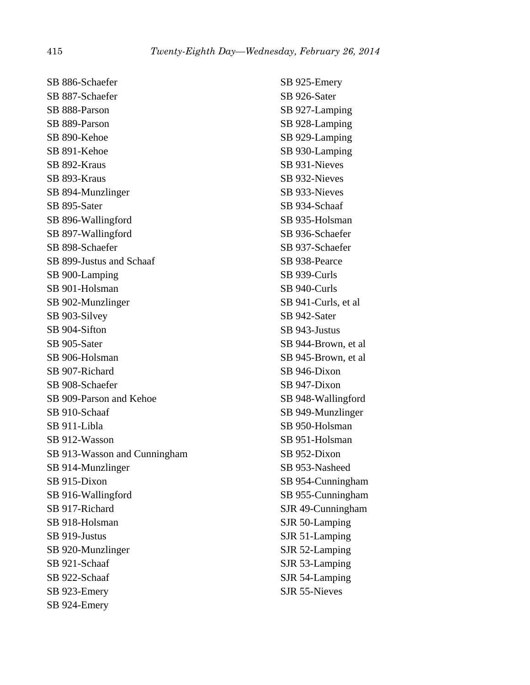SB 886-Schaefer SB 887-Schaefer SB 888-Parson SB 889-Parson SB 890-Kehoe SB 891-Kehoe SB 892-Kraus SB 893-Kraus SB 894-Munzlinger SB 895-Sater SB 896-Wallingford SB 897-Wallingford SB 898-Schaefer SB 899-Justus and Schaaf SB 900-Lamping SB 901-Holsman SB 902-Munzlinger SB 903-Silvey SB 904-Sifton SB 905-Sater SB 906-Holsman SB 907-Richard SB 908-Schaefer SB 909-Parson and Kehoe SB 910-Schaaf SB 911-Libla SB 912-Wasson SB 913-Wasson and Cunningham SB 914-Munzlinger SB 915-Dixon SB 916-Wallingford SB 917-Richard SB 918-Holsman SB 919-Justus SB 920-Munzlinger SB 921-Schaaf SB 922-Schaaf SB 923-Emery SB 924-Emery

SB 925-Emery SB 926-Sater SB 927-Lamping SB 928-Lamping SB 929-Lamping SB 930-Lamping SB 931-Nieves SB 932-Nieves SB 933-Nieves SB 934-Schaaf SB 935-Holsman SB 936-Schaefer SB 937-Schaefer SB 938-Pearce SB 939-Curls SB 940-Curls SB 941-Curls, et al SB 942-Sater SB 943-Justus SB 944-Brown, et al SB 945-Brown, et al SB 946-Dixon SB 947-Dixon SB 948-Wallingford SB 949-Munzlinger SB 950-Holsman SB 951-Holsman SB 952-Dixon SB 953-Nasheed SB 954-Cunningham SB 955-Cunningham SJR 49-Cunningham SJR 50-Lamping SJR 51-Lamping SJR 52-Lamping SJR 53-Lamping SJR 54-Lamping SJR 55-Nieves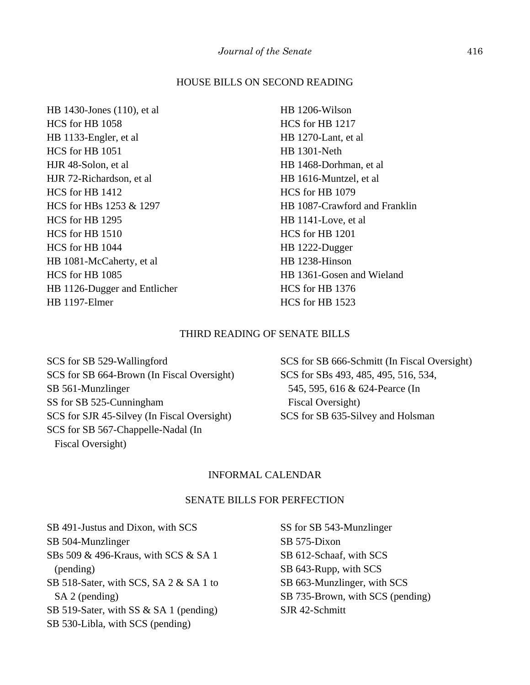## HOUSE BILLS ON SECOND READING

HB 1430-Jones (110), et al HCS for HB 1058 HB 1133-Engler, et al HCS for HB 1051 HJR 48-Solon, et al HJR 72-Richardson, et al HCS for HB 1412 HCS for HBs 1253 & 1297 HCS for HB 1295 HCS for HB 1510 HCS for HB 1044 HB 1081-McCaherty, et al HCS for HB 1085 HB 1126-Dugger and Entlicher HB 1197-Elmer

HB 1206-Wilson HCS for HB 1217 HB 1270-Lant, et al HB 1301-Neth HB 1468-Dorhman, et al HB 1616-Muntzel, et al HCS for HB 1079 HB 1087-Crawford and Franklin HB 1141-Love, et al HCS for HB 1201 HB 1222-Dugger HB 1238-Hinson HB 1361-Gosen and Wieland HCS for HB 1376 HCS for HB 1523

## THIRD READING OF SENATE BILLS

SCS for SB 529-Wallingford SCS for SB 664-Brown (In Fiscal Oversight) SB 561-Munzlinger SS for SB 525-Cunningham SCS for SJR 45-Silvey (In Fiscal Oversight) SCS for SB 567-Chappelle-Nadal (In Fiscal Oversight)

SCS for SB 666-Schmitt (In Fiscal Oversight) SCS for SBs 493, 485, 495, 516, 534, 545, 595, 616 & 624-Pearce (In Fiscal Oversight) SCS for SB 635-Silvey and Holsman

# INFORMAL CALENDAR

#### SENATE BILLS FOR PERFECTION

SB 491-Justus and Dixon, with SCS SB 504-Munzlinger SBs 509 & 496-Kraus, with SCS & SA 1 (pending) SB 518-Sater, with SCS, SA 2 & SA 1 to SA 2 (pending) SB 519-Sater, with SS & SA 1 (pending) SB 530-Libla, with SCS (pending)

SS for SB 543-Munzlinger SB 575-Dixon SB 612-Schaaf, with SCS SB 643-Rupp, with SCS SB 663-Munzlinger, with SCS SB 735-Brown, with SCS (pending) SJR 42-Schmitt